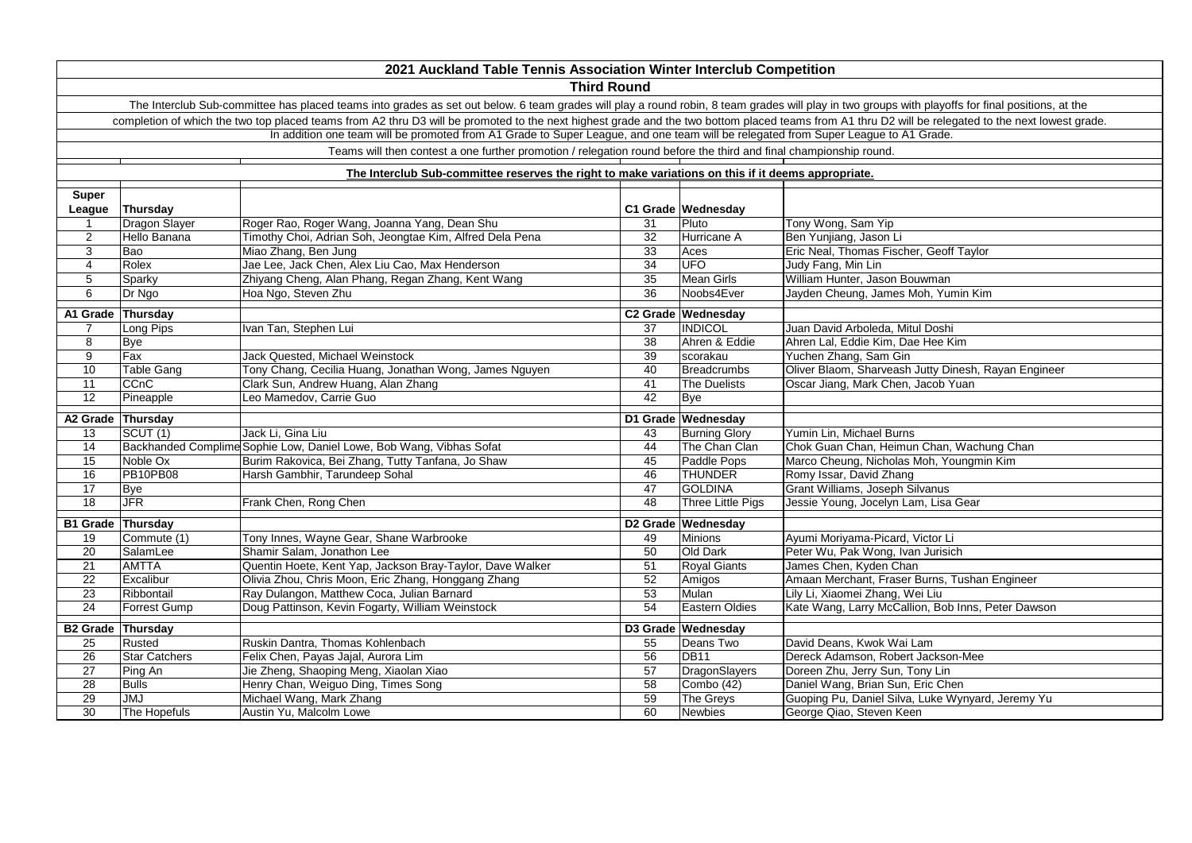|                          |                      | 2021 Auckland Table Tennis Association Winter Interclub Competition                                                                                                                                 |    |                          |                                                      |
|--------------------------|----------------------|-----------------------------------------------------------------------------------------------------------------------------------------------------------------------------------------------------|----|--------------------------|------------------------------------------------------|
|                          |                      | <b>Third Round</b>                                                                                                                                                                                  |    |                          |                                                      |
|                          |                      | The Interclub Sub-committee has placed teams into grades as set out below. 6 team grades will play a round robin, 8 team grades will play in two groups with playoffs for final positions, at the   |    |                          |                                                      |
|                          |                      | completion of which the two top placed teams from A2 thru D3 will be promoted to the next highest grade and the two bottom placed teams from A1 thru D2 will be relegated to the next lowest grade. |    |                          |                                                      |
|                          |                      | In addition one team will be promoted from A1 Grade to Super League, and one team will be relegated from Super League to A1 Grade.                                                                  |    |                          |                                                      |
|                          |                      | Teams will then contest a one further promotion / relegation round before the third and final championship round.                                                                                   |    |                          |                                                      |
|                          |                      | The Interclub Sub-committee reserves the right to make variations on this if it deems appropriate.                                                                                                  |    |                          |                                                      |
| <b>Super</b>             |                      |                                                                                                                                                                                                     |    |                          |                                                      |
| League                   | Thursday             |                                                                                                                                                                                                     |    | C1 Grade Wednesday       |                                                      |
| $\mathbf{1}$             | Dragon Slayer        | Roger Rao, Roger Wang, Joanna Yang, Dean Shu                                                                                                                                                        | 31 | Pluto                    | Tony Wong, Sam Yip                                   |
| $\overline{2}$           | Hello Banana         | Timothy Choi, Adrian Soh, Jeongtae Kim, Alfred Dela Pena                                                                                                                                            | 32 | Hurricane A              | Ben Yunjiang, Jason Li                               |
| 3                        | Bao                  | Miao Zhang, Ben Jung                                                                                                                                                                                | 33 | Aces                     | Eric Neal, Thomas Fischer, Geoff Taylor              |
| 4                        | Rolex                | Jae Lee, Jack Chen, Alex Liu Cao, Max Henderson                                                                                                                                                     | 34 | <b>UFO</b>               | Judy Fang, Min Lin                                   |
| 5                        | Sparky               | Zhiyang Cheng, Alan Phang, Regan Zhang, Kent Wang                                                                                                                                                   | 35 | <b>Mean Girls</b>        | William Hunter, Jason Bouwman                        |
| 6                        | Dr Ngo               | Hoa Ngo, Steven Zhu                                                                                                                                                                                 | 36 | Noobs4Ever               | Jayden Cheung, James Moh, Yumin Kim                  |
| A1 Grade                 | Thursday             |                                                                                                                                                                                                     |    | C2 Grade Wednesday       |                                                      |
| $\overline{7}$           | Long Pips            | Ivan Tan, Stephen Lui                                                                                                                                                                               | 37 | <b>INDICOL</b>           | Juan David Arboleda, Mitul Doshi                     |
| 8                        | <b>Bye</b>           |                                                                                                                                                                                                     | 38 | Ahren & Eddie            | Ahren Lal. Eddie Kim. Dae Hee Kim                    |
| 9                        | Fax                  | Jack Quested, Michael Weinstock                                                                                                                                                                     | 39 | scorakau                 | Yuchen Zhang, Sam Gin                                |
| 10                       | <b>Table Gang</b>    | Tony Chang, Cecilia Huang, Jonathan Wong, James Nguyen                                                                                                                                              | 40 | <b>Breadcrumbs</b>       | Oliver Blaom, Sharveash Jutty Dinesh, Rayan Engineer |
| 11                       | CCnC                 | Clark Sun, Andrew Huang, Alan Zhang                                                                                                                                                                 | 41 | The Duelists             | Oscar Jiang, Mark Chen, Jacob Yuan                   |
| $\overline{12}$          | Pineapple            | Leo Mamedov, Carrie Guo                                                                                                                                                                             | 42 | Bye                      |                                                      |
| A2 Grade Thursday        |                      |                                                                                                                                                                                                     |    | D1 Grade Wednesday       |                                                      |
| 13                       | SCUT (1)             | Jack Li, Gina Liu                                                                                                                                                                                   | 43 | <b>Burning Glory</b>     | Yumin Lin. Michael Burns                             |
| 14                       |                      | Backhanded Complime Sophie Low, Daniel Lowe, Bob Wang, Vibhas Sofat                                                                                                                                 | 44 | The Chan Clan            | Chok Guan Chan, Heimun Chan, Wachung Chan            |
| 15                       | Noble Ox             | Burim Rakovica, Bei Zhang, Tutty Tanfana, Jo Shaw                                                                                                                                                   | 45 | Paddle Pops              | Marco Cheung, Nicholas Moh, Youngmin Kim             |
| 16                       | <b>PB10PB08</b>      | Harsh Gambhir, Tarundeep Sohal                                                                                                                                                                      | 46 | <b>THUNDER</b>           | Romy Issar, David Zhang                              |
| 17                       | Bve                  |                                                                                                                                                                                                     | 47 | <b>GOLDINA</b>           | Grant Williams, Joseph Silvanus                      |
| 18                       | <b>JFR</b>           | Frank Chen, Rong Chen                                                                                                                                                                               | 48 | <b>Three Little Pigs</b> | Jessie Young, Jocelyn Lam, Lisa Gear                 |
|                          |                      |                                                                                                                                                                                                     |    |                          |                                                      |
| <b>B1 Grade Thursday</b> |                      |                                                                                                                                                                                                     |    | D2 Grade Wednesday       |                                                      |
| 19                       | Commute (1)          | Tony Innes, Wayne Gear, Shane Warbrooke                                                                                                                                                             | 49 | Minions                  | Ayumi Moriyama-Picard, Victor Li                     |
| 20                       | SalamLee             | Shamir Salam, Jonathon Lee                                                                                                                                                                          | 50 | Old Dark                 | Peter Wu, Pak Wong, Ivan Jurisich                    |
| 21                       | <b>AMTTA</b>         | Quentin Hoete, Kent Yap, Jackson Bray-Taylor, Dave Walker                                                                                                                                           | 51 | <b>Royal Giants</b>      | James Chen, Kyden Chan                               |
| 22                       | Excalibur            | Olivia Zhou, Chris Moon, Eric Zhang, Honggang Zhang                                                                                                                                                 | 52 | Amigos                   | Amaan Merchant, Fraser Burns, Tushan Engineer        |
| $\overline{23}$          | Ribbontail           | Ray Dulangon, Matthew Coca, Julian Barnard                                                                                                                                                          | 53 | Mulan                    | Lily Li, Xiaomei Zhang, Wei Liu                      |
| 24                       | Forrest Gump         | Doug Pattinson, Kevin Fogarty, William Weinstock                                                                                                                                                    | 54 | <b>Eastern Oldies</b>    | Kate Wang, Larry McCallion, Bob Inns, Peter Dawson   |
| <b>B2 Grade Thursday</b> |                      |                                                                                                                                                                                                     |    | D3 Grade Wednesday       |                                                      |
| 25                       | Rusted               | Ruskin Dantra, Thomas Kohlenbach                                                                                                                                                                    | 55 | Deans Two                | David Deans, Kwok Wai Lam                            |
| 26                       | <b>Star Catchers</b> | Felix Chen, Payas Jajal, Aurora Lim                                                                                                                                                                 | 56 | <b>DB11</b>              | Dereck Adamson, Robert Jackson-Mee                   |
| 27                       | Ping An              | Jie Zheng, Shaoping Meng, Xiaolan Xiao                                                                                                                                                              | 57 | DragonSlayers            | Doreen Zhu, Jerry Sun, Tony Lin                      |
| 28                       | <b>Bulls</b>         | Henry Chan, Weiguo Ding, Times Song                                                                                                                                                                 | 58 | Combo (42)               | Daniel Wang, Brian Sun, Eric Chen                    |
| 29                       | <b>LMU</b>           | Michael Wang, Mark Zhang                                                                                                                                                                            | 59 | The Greys                | Guoping Pu, Daniel Silva, Luke Wynyard, Jeremy Yu    |
| 30                       | The Hopefuls         | Austin Yu, Malcolm Lowe                                                                                                                                                                             | 60 | <b>Newbies</b>           | George Qiao, Steven Keen                             |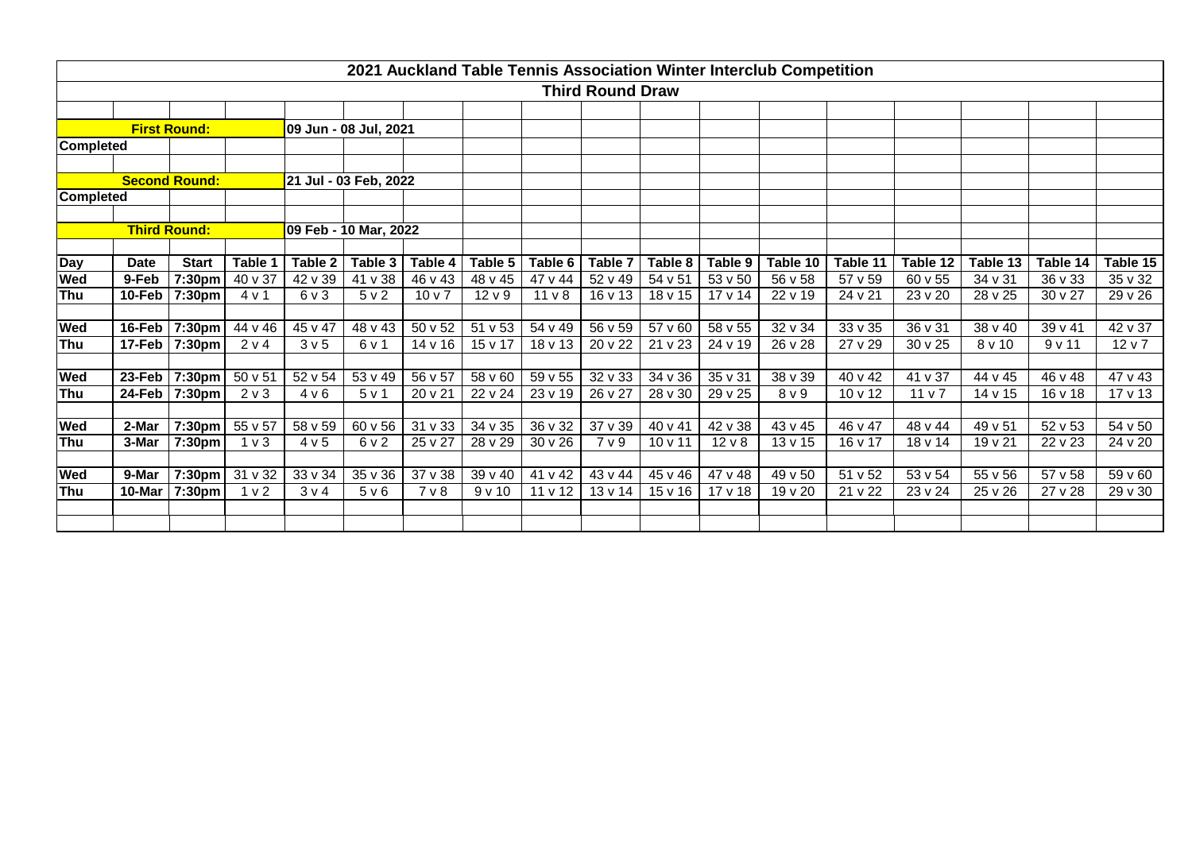|                  |                             |                      |                  |                  |                       |                  |                   |                   |                         |                |              | 2021 Auckland Table Tennis Association Winter Interclub Competition |          |                 |          |          |              |
|------------------|-----------------------------|----------------------|------------------|------------------|-----------------------|------------------|-------------------|-------------------|-------------------------|----------------|--------------|---------------------------------------------------------------------|----------|-----------------|----------|----------|--------------|
|                  |                             |                      |                  |                  |                       |                  |                   |                   | <b>Third Round Draw</b> |                |              |                                                                     |          |                 |          |          |              |
|                  |                             |                      |                  |                  |                       |                  |                   |                   |                         |                |              |                                                                     |          |                 |          |          |              |
|                  |                             | <b>First Round:</b>  |                  |                  | 09 Jun - 08 Jul, 2021 |                  |                   |                   |                         |                |              |                                                                     |          |                 |          |          |              |
| <b>Completed</b> |                             |                      |                  |                  |                       |                  |                   |                   |                         |                |              |                                                                     |          |                 |          |          |              |
|                  |                             |                      |                  |                  |                       |                  |                   |                   |                         |                |              |                                                                     |          |                 |          |          |              |
|                  |                             | <b>Second Round:</b> |                  |                  | 21 Jul - 03 Feb, 2022 |                  |                   |                   |                         |                |              |                                                                     |          |                 |          |          |              |
| <b>Completed</b> |                             |                      |                  |                  |                       |                  |                   |                   |                         |                |              |                                                                     |          |                 |          |          |              |
|                  |                             |                      |                  |                  |                       |                  |                   |                   |                         |                |              |                                                                     |          |                 |          |          |              |
|                  |                             | <b>Third Round:</b>  |                  |                  | 09 Feb - 10 Mar, 2022 |                  |                   |                   |                         |                |              |                                                                     |          |                 |          |          |              |
|                  | <b>Date</b>                 | <b>Start</b>         | Table 1          | Table 2          | Table 3               | Table 4          | Table 5           | Table 6           | Table 7                 | Table 8        | Table 9      | Table 10                                                            | Table 11 | Table 12        | Table 13 | Table 14 | Table 15     |
| Day<br>Wed       | 9-Feb                       | 7:30pm               | 40 v 37          | 42 v 39          | 41 v 38               | 46 v 43          | 48 v 45           | 47 v 44           | 52 v 49                 | 54 v 51        | 53 v 50      | 56 v 58                                                             | 57 v 59  | 60 v 55         | 34 v 31  | 36 v 33  | 35 v 32      |
| Thu              | 10-Feb                      | 7:30pm               | 4 v 1            | 6 <sub>v</sub> 3 | 5 <sub>v</sub> 2      | 10 <sub>v</sub>  | 12 <sub>V</sub> 9 | 11 <sub>V</sub> 8 | 16 v 13                 | 18 v 15        | $17 \vee 14$ | 22 v 19                                                             | 24 v 21  | 23 v 20         | 28 v 25  | 30 v 27  | 29 v 26      |
|                  |                             |                      |                  |                  |                       |                  |                   |                   |                         |                |              |                                                                     |          |                 |          |          |              |
| <b>Wed</b>       | 16-Feb                      | 7:30pm               | 44 v 46          | 45 v 47          | 48 v 43               | 50 v 52          | 51 v 53           | 54 v 49           | 56 v 59                 | 57 v 60        | 58 v 55      | 32 v 34                                                             | 33 v 35  | 36 v 31         | 38 v 40  | 39 v 41  | 42 v 37      |
| Thu              | 17-Feb                      | 7:30pm               | 2 v 4            | 3 <sub>v</sub> 5 | 6 v 1                 | 14 v 16          | 15 v 17           | 18 v 13           | 20 v 22                 | 21 v 23        | 24 v 19      | 26 v 28                                                             | 27 v 29  | 30 v 25         | 8v10     | 9v11     | 12 v 7       |
|                  |                             |                      |                  |                  |                       |                  |                   |                   |                         |                |              |                                                                     |          |                 |          |          |              |
| Wed              | 23-Feb                      | 7:30pm               | 50 v 51          | 52 v 54          | 53 v 49               | 56 v 57          | 58 v 60           | 59 v 55           | 32 v 33                 | 34 v 36        | 35 v 31      | 38 v 39                                                             | 40 v 42  | 41 v 37         | 44 v 45  | 46 v 48  | 47 v 43      |
| Thu              | 24-Feb                      | 7:30pm               | 2 <sub>v</sub> 3 | 4 v 6            | 5 <sub>v</sub> 1      | 20 v 21          | 22 v 24           | 23 v 19           | 26 v 27                 | 28 v 30        | 29 v 25      | 8 <sub>V</sub> 9                                                    | 10 v 12  | 11 <sub>v</sub> | 14 v 15  | 16v18    | 17 v 13      |
|                  |                             |                      |                  |                  |                       |                  |                   |                   |                         |                |              |                                                                     |          |                 |          |          |              |
| <b>Wed</b>       | 2-Mar                       | 7:30pm               | $55 \vee 57$     | 58 v 59          | $60 \vee 56$          | $31 \vee 33$     | 34v35             | $36 \vee 32$      | 37v39                   | 40 v 41        | $42 \vee 38$ | $43 \vee 45$                                                        | 46 v 47  | 48 v 44         | 49 v 51  | 52 v 53  | $54 \vee 50$ |
| Thu              | 3-Mar                       | 7:30pm               | 1 <sub>v</sub>   | 4 v 5            | 6v2                   | 25 v 27          | 28 v 29           | $30 \vee 26$      | 7 <sub>V</sub> 9        | $10 \times 11$ | $12 \vee 8$  | $13 \vee 15$                                                        | 16 v 17  | 18 v 14         | $19v$ 21 | 22 v 23  | 24 v 20      |
| <b>Wed</b>       | 9-Mar<br>7:30 <sub>pm</sub> |                      | 31 v 32          | 33 v 34          | $35 \vee 36$          | 37 v 38          | 39 v 40           | 41 v 42           | 43 v 44                 | 45 v 46        | 47 v 48      | 49 v 50                                                             | 51 v 52  | 53 v 54         | 55 v 56  | 57 v 58  | 59 v 60      |
| Thu              | 10-Mar                      | 7:30pm               | 1 <sub>v</sub> 2 | 3 v 4            | 5 v 6                 | 7 <sub>v</sub> 8 | 9v10              | 11 v 12           | 13 v 14                 | 15 v 16        | 17 v 18      | 19 v 20                                                             | 21 v 22  | 23 v 24         | 25 v 26  | 27 v 28  | 29 v 30      |
|                  |                             |                      |                  |                  |                       |                  |                   |                   |                         |                |              |                                                                     |          |                 |          |          |              |
|                  |                             |                      |                  |                  |                       |                  |                   |                   |                         |                |              |                                                                     |          |                 |          |          |              |
|                  |                             |                      |                  |                  |                       |                  |                   |                   |                         |                |              |                                                                     |          |                 |          |          |              |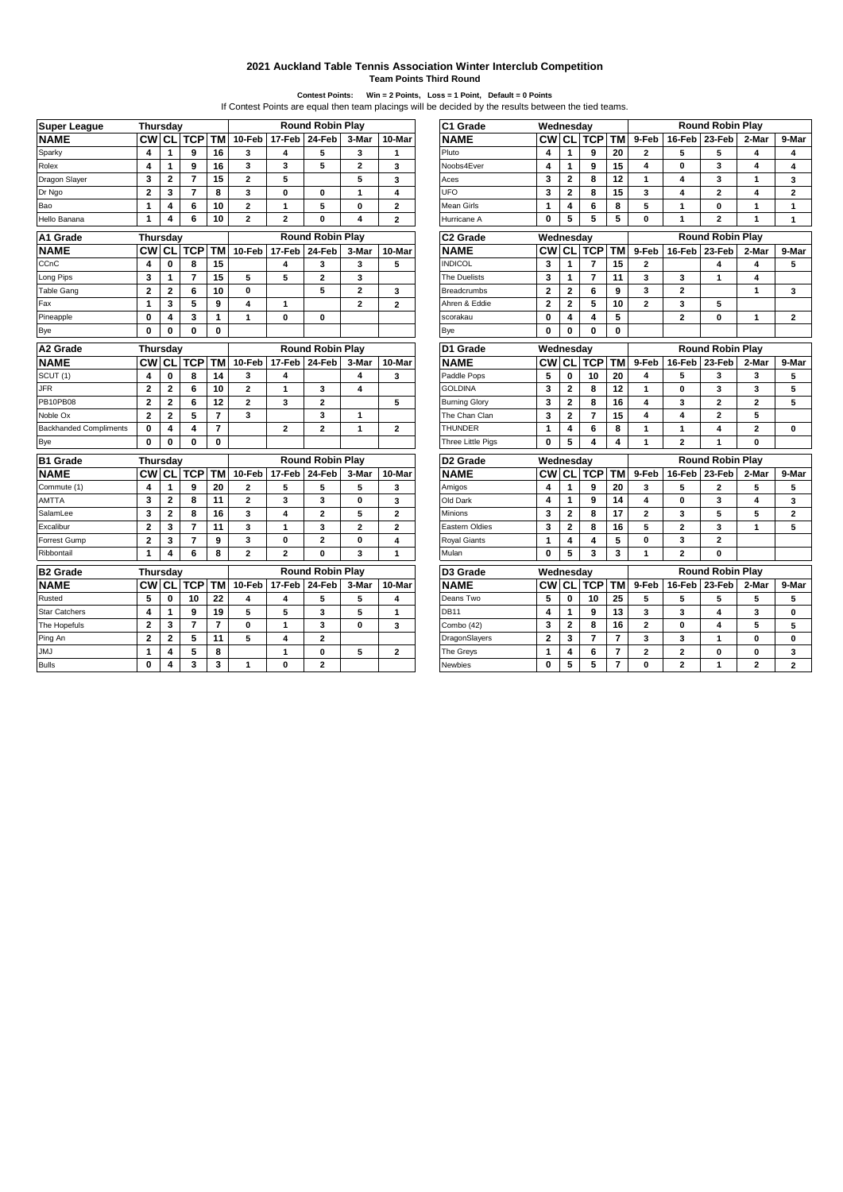## **2021 Auckland Table Tennis Association Winter Interclub Competition Team Points Third Round**

Contest Points: Win = 2 Points, Loss = 1 Point, Default = 0 Points<br>If Contest Points are equal then team placings will be decided by the results between the tied teams.

| <b>Super League</b>           | <b>Thursday</b> |                         |                         |                 |                |                | <b>Round Robin Play</b> |                        |                         | C1 Grade                 | Wednesday      |                |                |                |                         |                         | <b>Round Robin Play</b> |                         |                |
|-------------------------------|-----------------|-------------------------|-------------------------|-----------------|----------------|----------------|-------------------------|------------------------|-------------------------|--------------------------|----------------|----------------|----------------|----------------|-------------------------|-------------------------|-------------------------|-------------------------|----------------|
| <b>NAME</b>                   | <b>CW</b>       | CL                      | <b>TCP</b>              | <b>TM</b>       | 10-Feb         | 17-Feb         | 24-Feb                  | 3-Mar                  | 10-Mar                  | <b>NAME</b>              | <b>CW</b>      | <b>CL</b>      | <b>TCP</b>     | <b>TM</b>      | 9-Feb                   | 16-Feb                  | 23-Feb                  | 2-Mar                   | 9-Mai          |
| Sparky                        | 4               | 1                       | 9                       | 16              | 3              | 4              | 5                       | 3                      | 1                       | Pluto                    | 4              | $\mathbf{1}$   | 9              | 20             | $\overline{2}$          | 5                       | 5                       | 4                       | 4              |
| Rolex                         | 4               | $\mathbf{1}$            | 9                       | 16              | 3              | 3              | 5                       | $\overline{2}$         | 3                       | Noobs4Ever               | 4              | $\mathbf{1}$   | 9              | 15             | $\overline{\mathbf{4}}$ | $\mathbf{0}$            | 3                       | 4                       | 4              |
| Dragon Slayer                 | 3               | $\overline{\mathbf{2}}$ | $\overline{7}$          | 15              | $\mathbf{2}$   | 5              |                         | 5                      | 3                       | Aces                     | 3              | $\mathbf{2}$   | 8              | 12             | $\mathbf{1}$            | 4                       | 3                       | 1                       | 3              |
| Dr Ngo                        | $\overline{2}$  | 3                       | $\overline{7}$          | 8               | 3              | $\mathbf{0}$   | 0                       | $\mathbf{1}$           | 4                       | UFO                      | 3              | $\mathbf{2}$   | 8              | 15             | 3                       | 4                       | $\overline{2}$          | 4                       | $\overline{2}$ |
| Bao                           | $\mathbf{1}$    | 4                       | 6                       | 10              | $\mathbf{2}$   | $\mathbf{1}$   | 5                       | $\mathbf 0$            | $\overline{\mathbf{2}}$ | Mean Girls               | $\mathbf{1}$   | 4              | 6              | 8              | 5                       | $\mathbf{1}$            | $\mathbf 0$             | $\mathbf{1}$            | $\mathbf{1}$   |
| Hello Banana                  | $\mathbf{1}$    | 4                       | 6                       | 10              | $\mathbf{2}$   | $\overline{2}$ | $\mathbf{0}$            | $\boldsymbol{\Lambda}$ | $\overline{2}$          | Hurricane A              | $\mathbf 0$    | 5              | 5              | 5              | $\bf{0}$                | 1                       | $\overline{\mathbf{2}}$ | 1                       | $\mathbf{1}$   |
| A1 Grade                      | <b>Thursdav</b> |                         |                         |                 |                |                | <b>Round Robin Play</b> |                        |                         | C <sub>2</sub> Grade     | Wednesdav      |                |                |                |                         |                         | <b>Round Robin Play</b> |                         |                |
| <b>NAME</b>                   | <b>CW</b>       | CI                      | <b>TCP</b>              | <b>TM</b>       | 10-Feb         | 17-Feb         | 24-Feb                  | 3-Mar                  | 10-Mar                  | <b>NAME</b>              | СW             | <b>CL</b>      | <b>TCP</b>     | <b>TM</b>      | 9-Feb                   | 16-Feb                  | 23-Feb                  | 2-Mar                   | 9-Mai          |
| CCnC                          | 4               | 0                       | 8                       | 15              |                | 4              | 3                       | 3                      | 5                       | <b>INDICOL</b>           | 3              | $\mathbf{1}$   | 7              | 15             | $\mathbf{2}$            |                         | 4                       | 4                       | 5              |
| Long Pips                     | 3               | $\mathbf{1}$            | $\overline{7}$          | $\overline{15}$ | 5              | 5              | $\overline{2}$          | 3                      |                         | The Duelists             | 3              | $\mathbf{1}$   | $\overline{7}$ | 11             | 3                       | 3                       | $\mathbf{1}$            | $\overline{\mathbf{4}}$ |                |
| <b>Table Gang</b>             | $\overline{2}$  | $\overline{2}$          | 6                       | 10              | 0              |                | 5                       | $\overline{2}$         | 3                       | <b>Breadcrumbs</b>       | $\overline{2}$ | $\mathbf{2}$   | 6              | 9              | 3                       | $\overline{2}$          |                         | $\mathbf{1}$            | 3              |
| Fax                           | $\mathbf{1}$    | 3                       | 5                       | 9               | 4              | $\mathbf{1}$   |                         | $\overline{2}$         | $\overline{2}$          | Ahren & Eddie            | $\overline{2}$ | $\mathbf{2}$   | 5              | 10             | $\overline{2}$          | 3                       | 5                       |                         |                |
| Pineapple                     | $\mathbf{0}$    | 4                       | 3                       | $\mathbf{1}$    | $\mathbf{1}$   | $\mathbf{0}$   | $\bf{0}$                |                        |                         | scorakau                 | $\bf{0}$       | 4              | 4              | 5              |                         | $\overline{2}$          | $\bf{0}$                | $\mathbf{1}$            | $\mathbf{2}$   |
| Bye                           | $\mathbf{0}$    | 0                       | $\mathbf{0}$            | $\mathbf 0$     |                |                |                         |                        |                         | Bye                      | $\mathbf 0$    | $\mathbf 0$    | $\bf{0}$       | $\bf{0}$       |                         |                         |                         |                         |                |
| A2 Grade                      | <b>Thursday</b> |                         |                         |                 |                |                | <b>Round Robin Play</b> |                        |                         | D1 Grade                 | Wednesday      |                |                |                |                         |                         | <b>Round Robin Play</b> |                         |                |
| <b>NAME</b>                   | <b>CW</b>       | <b>CL</b>               | <b>TCP</b>              | l TM            | 10-Feb         | 17-Feb         | 24-Feb                  | 3-Mar                  | 10-Mar                  | <b>NAME</b>              | <b>CW</b>      | <b>CL</b>      | <b>TCP</b>     | <b>TM</b>      | 9-Feb                   | 16-Feb                  | 23-Feb                  | 2-Mar                   | 9-Mai          |
| SCUT (1)                      | 4               | 0                       | 8                       | 14              | 3              | 4              |                         | 4                      | 3                       | Paddle Pops              | 5              | $\mathbf 0$    | 10             | 20             | 4                       | 5                       | 3                       | 3                       | 5              |
| <b>JFR</b>                    | $\overline{2}$  | $\overline{2}$          | 6                       | 10              | $\mathbf{2}$   | $\mathbf{1}$   | 3                       | 4                      |                         | <b>GOLDINA</b>           | 3              | $\overline{2}$ | 8              | 12             | 1                       | $\mathbf{0}$            | 3                       | 3                       | 5              |
| PB10PB08                      | $\overline{2}$  | $\overline{2}$          | 6                       | 12              | $\mathbf{2}$   | 3              | $\mathbf{2}$            |                        | 5                       | <b>Burning Glory</b>     | 3              | $\mathbf{2}$   | 8              | 16             | 4                       | 3                       | $\overline{2}$          | $\mathbf{2}$            | 5              |
| Noble Ox                      | $\overline{2}$  | $\mathbf{2}$            | 5                       | $\overline{7}$  | 3              |                | 3                       | $\mathbf{1}$           |                         | The Chan Clan            | 3              | $\overline{2}$ | $\overline{7}$ | 15             | 4                       | 4                       | $\overline{2}$          | 5                       |                |
| <b>Backhanded Compliments</b> | $\mathbf{0}$    | 4                       | 4                       | 7               |                | $\overline{a}$ | $\overline{2}$          | $\mathbf{1}$           | $\overline{a}$          | <b>THUNDER</b>           | $\mathbf{1}$   | 4              | 6              | 8              | 1                       | $\mathbf{1}$            | 4                       | $\overline{2}$          | $\bf{0}$       |
| Bye                           | $\mathbf{0}$    | 0                       | 0                       | $\mathbf 0$     |                |                |                         |                        |                         | <b>Three Little Pigs</b> | $\mathbf 0$    | 5              | 4              | 4              | 1                       | $\overline{2}$          | $\mathbf{1}$            | $\mathbf 0$             |                |
| <b>B1 Grade</b>               | <b>Thursdav</b> |                         |                         |                 |                |                | <b>Round Robin Play</b> |                        |                         | D <sub>2</sub> Grade     | Wednesday      |                |                |                |                         |                         | <b>Round Robin Play</b> |                         |                |
| <b>NAME</b>                   | <b>CW</b>       | CL                      | <b>TCP</b>              | <b>TM</b>       | $10$ -Feb      | 17-Feb         | 24-Feb                  | 3-Mar                  | 10-Mar                  | <b>NAME</b>              | <b>CW</b>      | <b>CL</b>      | <b>TCP</b>     | <b>TM</b>      | 9-Feb                   | $16$ -Feb               | 23-Feb                  | 2-Mar                   | 9-Mai          |
| Commute (1)                   | 4               | 1                       | 9                       | 20              | $\mathbf{2}$   | 5              | 5                       | 5                      | 3                       | Amigos                   | 4              | $\mathbf{1}$   | 9              | 20             | 3                       | 5                       | $\overline{2}$          | 5                       | 5              |
| <b>AMTTA</b>                  | 3               | $\mathbf{2}$            | 8                       | 11              | $\mathbf{2}$   | 3              | 3                       | $\mathbf 0$            | 3                       | Old Dark                 | 4              | $\mathbf{1}$   | 9              | 14             | 4                       | $\mathbf 0$             | 3                       | 4                       | 3              |
| SalamLee                      | 3               | $\overline{2}$          | 8                       | 16              | 3              | 4              | $\overline{2}$          | 5                      | $\overline{\mathbf{2}}$ | Minions                  | 3              | $\overline{2}$ | 8              | 17             | $\overline{2}$          | 3                       | 5                       | 5                       | $\mathbf 2$    |
| Excalibur                     | $\overline{2}$  | 3                       | $\overline{7}$          | 11              | 3              | $\mathbf{1}$   | 3                       | $\overline{2}$         | $\overline{\mathbf{2}}$ | Eastern Oldies           | 3              | $\overline{2}$ | 8              | 16             | 5                       | $\overline{2}$          | 3                       | $\mathbf{1}$            | 5              |
| <b>Forrest Gump</b>           | $\mathbf{2}$    | 3                       | $\overline{7}$          | 9               | 3              | $\mathbf 0$    | $\mathbf{2}$            | 0                      | 4                       | <b>Royal Giants</b>      | 1              | 4              | 4              | 5              | $\bf{0}$                | 3                       | $\overline{\mathbf{2}}$ |                         |                |
| Ribbontail                    | $\mathbf{1}$    | 4                       | 6                       | 8               | $\overline{2}$ | $\overline{2}$ | $\mathbf{0}$            | 3                      | $\mathbf{1}$            | Mulan                    | $\mathbf{0}$   | 5              | 3              | 3              | 1                       | $\overline{2}$          | $\bf{0}$                |                         |                |
| <b>B2 Grade</b>               | Thursday        |                         |                         |                 |                |                | <b>Round Robin Play</b> |                        |                         | D <sub>3</sub> Grade     | Wednesday      |                |                |                |                         |                         | <b>Round Robin Play</b> |                         |                |
| <b>NAME</b>                   | <b>CW</b>       | <b>CL</b>               | <b>TCP TM</b>           |                 | 10-Feb         | 17-Feb         | 24-Feb                  | 3-Mar                  | 10-Mar                  | <b>NAME</b>              | <b>CW</b>      | <b>CL</b>      | <b>TCP</b>     | <b>TM</b>      | 9-Feb                   | 16-Feb                  | 23-Feb                  | 2-Mar                   | 9-Mai          |
| Rusted                        | 5               | 0                       | 10                      | 22              | 4              | 4              | 5                       | 5                      | 4                       | Deans Two                | 5              | 0              | 10             | 25             | 5                       | 5                       | 5                       | 5                       | 5              |
| <b>Star Catchers</b>          | 4               | 1                       | 9                       | 19              | 5              | 5              | 3                       | 5                      | $\mathbf{1}$            | <b>DB11</b>              | 4              | $\mathbf{1}$   | 9              | 13             | $\overline{\mathbf{3}}$ | $\overline{\mathbf{3}}$ | 4                       | 3                       | $\bf{0}$       |
| The Hopefuls                  | $\overline{2}$  | 3                       | $\overline{7}$          | $\overline{7}$  | $\mathbf 0$    | $\mathbf{1}$   | 3                       | $\bf{0}$               | 3                       | Combo (42)               | 3              | $\overline{2}$ | 8              | 16             | $\overline{2}$          | $\mathbf 0$             | 4                       | 5                       | 5              |
| Ping An                       | $\overline{2}$  | $\mathbf{2}$            | 5                       | 11              | 5              | 4              | $\overline{2}$          |                        |                         | DragonSlayers            | $\mathbf{2}$   | 3              | $\overline{7}$ | $\overline{7}$ | $\overline{\mathbf{3}}$ | 3                       | $\mathbf{1}$            | $\mathbf 0$             | $\bf{0}$       |
| <b>JMJ</b>                    | $\mathbf{1}$    | 4                       | 5                       | 8               |                | $\mathbf{1}$   | 0                       | 5                      | $\overline{a}$          | The Greys                | 1              | 4              | 6              | $\overline{7}$ | $\overline{\mathbf{2}}$ | $\overline{2}$          | $\bf{0}$                | 0                       | 3              |
| <b>Bulls</b>                  | $\Omega$        | 4                       | $\overline{\mathbf{3}}$ | 3               | $\mathbf{1}$   | $\Omega$       | $\overline{2}$          |                        |                         | <b>Newbies</b>           | $\mathbf{0}$   | 5              | 5              | $\overline{7}$ | $\Omega$                | $\overline{2}$          | $\blacktriangleleft$    | $\overline{2}$          | $\overline{2}$ |

|                         | <b>Round Robin Play</b> |              |                         | C1 Grade             | Wednesday      |                         |               |           |                |                | <b>Round Robin Play</b> |                |                |
|-------------------------|-------------------------|--------------|-------------------------|----------------------|----------------|-------------------------|---------------|-----------|----------------|----------------|-------------------------|----------------|----------------|
| -Feb                    | 24-Feb                  | 3-Mar        | 10-Mar                  | <b>NAME</b>          | <b>CW</b>      | <b>CL</b>               | <b>TCP TM</b> |           | 9-Feb          | 16-Feb         | 23-Feb                  | 2-Mar          | 9-Mar          |
| $\overline{\mathbf{4}}$ | 5                       | 3            | 1                       | Pluto                | 4              | 1                       | 9             | 20        | $\overline{a}$ | 5              | 5                       | 4              | 4              |
| 3                       | 5                       | $\mathbf 2$  | 3                       | Noobs4Ever           | 4              | 1                       | 9             | 15        | 4              | 0              | 3                       | 4              | 4              |
| 5                       |                         | 5            | 3                       | Aces                 | 3              | $\overline{2}$          | 8             | 12        | 1              | 4              | 3                       | 1              |                |
| $\mathbf 0$             | 0                       | 1            | $\overline{\mathbf{4}}$ | <b>UFO</b>           | 3              | $\overline{2}$          | 8             | 15        | 3              | 4              | $\mathbf{2}$            | 4              |                |
| $\mathbf{1}$            | 5                       | 0            | $\overline{a}$          | <b>Mean Girls</b>    | 1              | $\overline{\mathbf{4}}$ | 6             | 8         | 5              | 1              | 0                       | 1              |                |
| $\mathbf{2}$            | 0                       | 4            | $\overline{2}$          | Hurricane A          | 0              | 5                       | 5             | 5         | 0              | 1              | $\overline{a}$          | 1              |                |
|                         | <b>Round Robin Play</b> |              |                         | C2 Grade             | Wednesday      |                         |               |           |                |                | <b>Round Robin Play</b> |                |                |
| -Feb                    | 24-Feb                  | 3-Mar        | 10-Mar                  | <b>NAME</b>          | <b>CW</b>      | <b>CL</b>               | <b>TCP</b>    | <b>TM</b> | 9-Feb          |                | 16-Feb 23-Feb           | 2-Mar          | 9-Mar          |
| 4                       | 3                       | 3            | 5                       | <b>INDICOL</b>       | 3              | 1                       | 7             | 15        | $\mathbf{2}$   |                | 4                       | 4              | 5              |
| 5                       | $\overline{2}$          | 3            |                         | <b>The Duelists</b>  | 3              | 1                       | 7             | 11        | 3              | 3              | 1                       | 4              |                |
|                         | 5                       | $\mathbf{2}$ | 3                       | Breadcrumbs          | $\mathbf{2}$   | $\mathbf{2}$            | 6             | 9         | 3              | 2              |                         | 1              | 3              |
| $\mathbf{1}$            |                         | $\mathbf{2}$ | $\overline{2}$          | Ahren & Eddie        | $\overline{2}$ | $\overline{2}$          | 5             | 10        | $\overline{2}$ | 3              | 5                       |                |                |
| $\mathbf 0$             | 0                       |              |                         | scorakau             | 0              | 4                       | 4             | 5         |                | $\overline{a}$ | 0                       | 1              | $\mathbf{2}$   |
|                         |                         |              |                         | Bye                  | 0              | 0                       | o             | 0         |                |                |                         |                |                |
|                         | <b>Round Robin Play</b> |              |                         | D1 Grade             | Wednesday      |                         |               |           |                |                | <b>Round Robin Play</b> |                |                |
| -Feb                    | 24-Feb                  | 3-Mar        | 10-Mar                  | <b>NAME</b>          | <b>CW</b>      | <b>CL</b>               | <b>TCP</b>    | <b>TM</b> | 9-Feb          |                | 16-Feb 23-Feb           | 2-Mar          | 9-Mar          |
| 4                       |                         | 4            | 3                       | Paddle Pops          | 5              | 0                       | 10            | 20        | 4              | 5              | 3                       | 3              | 5              |
| $\mathbf{1}$            | 3                       | 4            |                         | <b>GOLDINA</b>       | 3              | $\overline{2}$          | 8             | 12        | 1              | 0              | 3                       | 3              | 5              |
| 3                       | $\mathbf{z}$            |              | 5                       | <b>Burning Glory</b> | 3              | $\overline{2}$          | 8             | 16        | 4              | 3              | $\mathbf{2}$            | 2              | 5              |
|                         | 3                       | 1            |                         | The Chan Clan        | 3              | $\overline{2}$          | 7             | 15        | 4              | 4              | $\mathbf{2}$            | 5              |                |
| $\overline{\mathbf{2}}$ | $\overline{\mathbf{c}}$ | 1            | $\mathbf{2}$            | <b>THUNDER</b>       | 1              | 4                       | 6             | 8         | 1              | 1              | 4                       | $\overline{c}$ | 0              |
|                         |                         |              |                         | Three Little Pigs    | 0              | 5                       | 4             | 4         | 1              | $\overline{a}$ | 1                       | O              |                |
|                         | <b>Round Robin Play</b> |              |                         | D2 Grade             | Wednesday      |                         |               |           |                |                | <b>Round Robin Play</b> |                |                |
| -Feb                    | 24-Feb                  | 3-Mar        | 10-Mar                  | <b>NAME</b>          | <b>CW</b>      | CL                      | <b>TCP</b>    | <b>TM</b> | 9-Feb          | 16-Feb         | 23-Feb                  | 2-Mar          | 9-Mar          |
| 5                       | 5                       | 5            | 3                       | Amigos               | 4              | $\mathbf{1}$            | 9             | 20        | 3              | 5              | $\overline{a}$          | 5              | 5              |
| 3                       | 3                       | 0            | 3                       | Old Dark             | 4              | 1                       | 9             | 14        | 4              | 0              | 3                       | 4              | 3              |
| 4                       | $\mathbf{z}$            | 5            | $\overline{2}$          | <b>Minions</b>       | 3              | $\overline{2}$          | 8             | 17        | $\mathbf{2}$   | 3              | 5                       | 5              | 2              |
| $\mathbf{1}$            | 3                       | $\mathbf{2}$ | $\overline{2}$          | Eastern Oldies       | 3              | $\overline{2}$          | 8             | 16        | 5              | $\overline{a}$ | 3                       | 1              | 5              |
| $\pmb{0}$               | $\overline{a}$          | 0            | 4                       | <b>Royal Giants</b>  | 1              | 4                       | 4             | 5         | 0              | 3              | $\mathbf{2}$            |                |                |
| $\mathbf{2}$            | 0                       | 3            | 1                       | Mulan                | 0              | 5                       | 3             | 3         | 1              | $\overline{a}$ | 0                       |                |                |
|                         | <b>Round Robin Play</b> |              |                         | D3 Grade             | Wednesday      |                         |               |           |                |                | <b>Round Robin Play</b> |                |                |
| -Feb                    | 24-Feb                  | 3-Mar        | 10-Mar                  | <b>NAME</b>          | <b>CW</b>      | CL                      | <b>TCP</b>    | <b>TM</b> | 9-Feb          | 16-Feb         | 23-Feb                  | 2-Mar          | 9-Mar          |
| 4                       | 5                       | 5            | 4                       | Deans Two            | 5              | $\bf{0}$                | 10            | 25        | 5              | 5              | 5                       | 5              | 5              |
| 5                       | 3                       | 5            | 1                       | <b>DB11</b>          | 4              | 1                       | 9             | 13        | 3              | 3              | 4                       | 3              | 0              |
| $\ddot{\phantom{0}}$    | 3                       | 0            | 3                       | Combo (42)           | 3              | $\overline{2}$          | 8             | 16        | $\overline{2}$ | 0              | 4                       | 5              |                |
| 4                       | 2                       |              |                         | DragonSlayers        | 2              | 3                       | 7             | 7         | 3              | 3              | 1                       | 0              | 0              |
| $\ddot{\phantom{0}}$    | 0                       | 5            | $\overline{2}$          | The Greys            | 1              | $\overline{\mathbf{4}}$ | 6             | 7         | $\overline{2}$ | $\overline{a}$ | 0                       | 0              |                |
| 0                       | $\overline{a}$          |              |                         | Newbies              | 0              | 5                       | 5             | 7         | 0              | $\overline{a}$ | 1                       | 2              | $\overline{a}$ |
|                         |                         |              |                         |                      |                |                         |               |           |                |                |                         |                |                |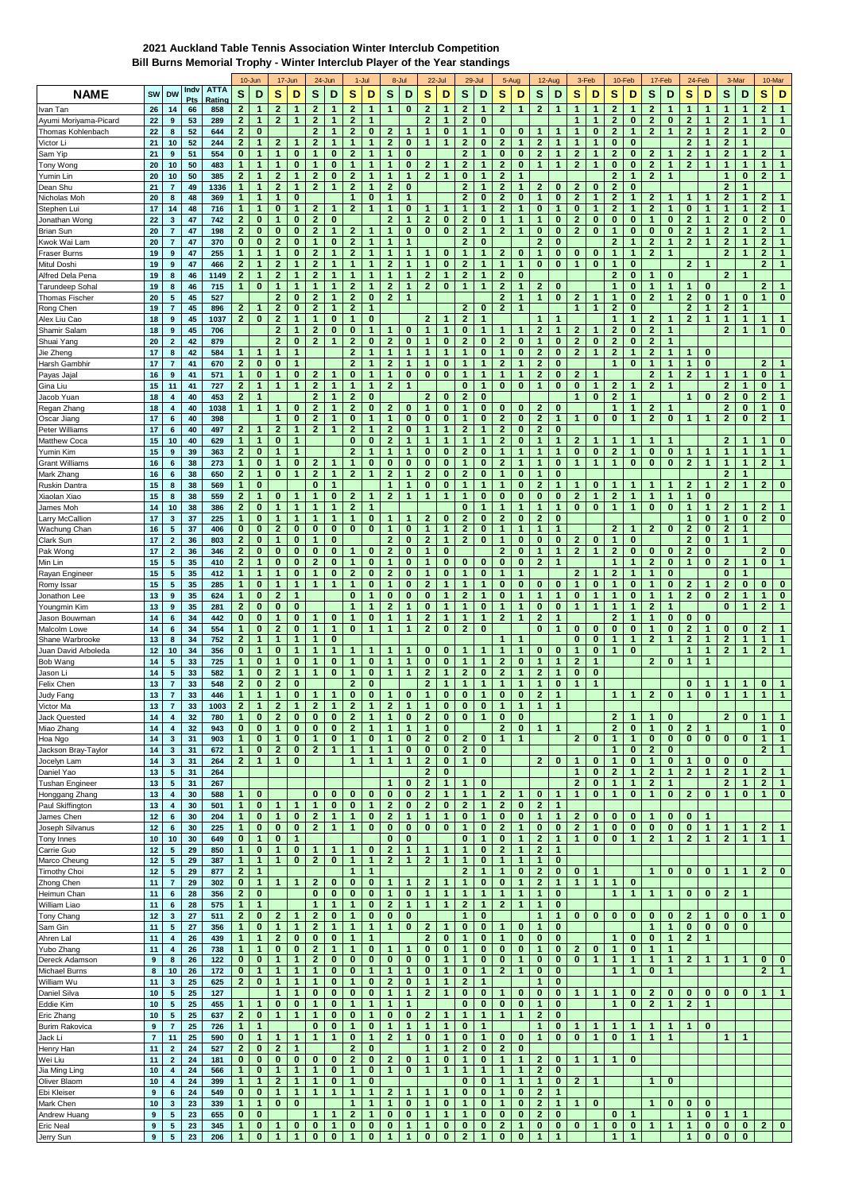## **2021 Auckland Table Tennis Association Winter Interclub Competition Bill Burns Memorial Trophy - Winter Interclub Player of the Year standings**

|                                    |                         |                                                    |           |               |                              | 10-Jun                      |                                           | 17-Jun                   |                              | 24-Jun        |                              | $1 -$ Jul                    |                                | 8-Jul                     |                              | 22-Jul                   |                              | $29 -$ Jul                   |                              | 5-Aug                    |                             | 12-Aug                       |                               | 3-Feb          |                       | 10-Feb        |                         | 17-Feb            |                            | 24-Feb            | 3-Mar                |               |                | 10-Mar         |
|------------------------------------|-------------------------|----------------------------------------------------|-----------|---------------|------------------------------|-----------------------------|-------------------------------------------|--------------------------|------------------------------|---------------|------------------------------|------------------------------|--------------------------------|---------------------------|------------------------------|--------------------------|------------------------------|------------------------------|------------------------------|--------------------------|-----------------------------|------------------------------|-------------------------------|----------------|-----------------------|---------------|-------------------------|-------------------|----------------------------|-------------------|----------------------|---------------|----------------|----------------|
| <b>NAME</b>                        | SW                      | <b>DW</b>                                          | Indv      | <b>ATTA</b>   | S                            | D                           | s                                         | D                        | S                            | D             | s                            | D                            | S                              | D                         | S                            | D                        | S                            | D                            | s                            | D                        | S                           | D                            | S                             | D              | S                     | D             | s                       | D                 | s                          | D                 | S                    | D             | S              | D              |
| Ivan Tan                           | 26                      | 14                                                 | Pts<br>66 | Rating<br>858 | $\mathbf{2}$                 | $\mathbf{1}$                | 2                                         | 1                        | $\mathbf{2}$                 | 1             | $\mathbf{2}$                 | 1                            | $\mathbf{1}$                   | $\bf{0}$                  | $\mathbf{2}$                 | -1                       | $\mathbf{2}$                 | 1                            | 2                            | $\mathbf 1$              | 2                           | $\mathbf{1}$                 | 1                             | 1              | $\mathbf{2}$          | 1             | 2                       | 1                 | 1                          | 1                 | 1                    | 1             | $\mathbf{2}$   | $\mathbf{1}$   |
| Ayumi Moriyama-Picard              | 22                      | $\boldsymbol{9}$                                   | 53        | 289           | $\mathbf{2}$                 | $\mathbf{1}$                | $\overline{2}$                            | 1                        | $\mathbf{2}$                 | 1             | $\mathbf{2}$                 | 1                            |                                |                           | $\mathbf{2}$                 | 1                        | $\mathbf{2}$                 | 0                            |                              |                          |                             |                              | 1                             | 1              | $\mathbf{2}$          | 0             | $\mathbf{2}$            | 0                 | $\overline{2}$             |                   | $\overline{2}$       | 1             | 1              | 1              |
| Thomas Kohlenbach                  | 22                      | 8                                                  | 52        | 644           | $\mathbf{2}$                 | $\bf{0}$                    |                                           |                          | $\overline{2}$               |               | $\overline{2}$               | $\bf{0}$                     | $\mathbf{2}$                   | 1                         | $\mathbf{1}$                 | 0                        | 1                            | 1                            | 0                            | 0                        | 1                           |                              |                               | 0              | $\overline{2}$        | $\mathbf{1}$  | $\overline{2}$          | 1                 | $\overline{2}$             | $\overline{1}$    | $\overline{2}$       | 1             | $\mathbf{2}$   | $\pmb{0}$      |
| Victor Li                          | 21                      | 10                                                 | 52        | 244           | $\mathbf{2}$                 | $\mathbf{1}$                | $\overline{2}$                            | 1                        | $\mathbf{2}$                 | 1             | $\mathbf{1}$                 | $\mathbf{1}$                 | $\mathbf{2}$                   | 0                         | $\mathbf{1}$                 | 1                        | $\bf{2}$                     | $\bf{0}$                     | $\mathbf{2}$                 | $\mathbf{1}$             | $\bf{2}$                    | $\mathbf{1}$                 | $\mathbf 1$                   | 1              | 0                     | $\bf{0}$      |                         |                   | $\overline{2}$             | $\mathbf{1}$      | $\overline{2}$       | 1             |                |                |
| Sam Yip                            | 21                      | $\boldsymbol{9}$                                   | 51        | 554           | $\bf{0}$                     | $\mathbf{1}$                | 1                                         | $\bf{0}$                 | $\mathbf{1}$                 | 0             | $\mathbf{2}$                 | 1                            | $\mathbf{1}$                   | 0                         |                              |                          | $\mathbf{2}$                 | 1                            | $\bf{0}$                     | $\bf{0}$                 | $\overline{2}$              | $\mathbf{1}$                 | $\mathbf{2}$                  | 1              | $\mathbf{2}$          | $\bf{0}$      | $\mathbf{2}$            |                   | $\mathbf{2}$               | $\mathbf{1}$      | $\mathbf{2}$         | $\mathbf{1}$  | $\mathbf{2}$   | $\mathbf{1}$   |
| Tony Wong                          | 20                      | 10                                                 | 50        | 483           | $\mathbf{1}$                 | $\mathbf{1}$                | 1                                         | 0                        | 1                            | 0             | $\mathbf 1$                  | $\mathbf{1}$                 | 1                              | $\bf{0}$                  | $\mathbf{z}$                 |                          | $\boldsymbol{2}$             | 1                            | 2                            | 0                        | $\mathbf{1}$                | $\mathbf{1}$                 | $\mathbf{2}$                  | 1              | 0                     | $\bf{0}$      | $\mathbf{2}$            | 1                 | $\mathbf{2}$               | 1                 | $\mathbf{1}$         | 1             | $\mathbf{1}$   | 1              |
| Yumin Lin                          | 20                      | 10                                                 | 50        | 385           | $\mathbf{2}$                 | $\mathbf{1}$                | $\mathbf{2}$                              | 1                        | $\mathbf{2}$                 | 0             | $\mathbf{2}$                 | 1                            | 1                              | 1                         | $\mathbf{2}$                 | 1                        | $\bf{0}$                     | 1                            | $\mathbf{2}$                 | $\mathbf 1$              |                             |                              |                               |                | $\mathbf{2}$          | 1             | $\mathbf{2}$            | 1                 |                            |                   | $\mathbf{1}$         | 0             | $\mathbf{2}$   | 1              |
| Dean Shu                           | 21                      | $\overline{7}$                                     | 49        | 1336          | $\mathbf{1}$                 | $\mathbf{1}$                | $\overline{2}$                            | 1                        | $\mathbf{2}$                 | 1             | $\overline{2}$               | $\mathbf{1}$                 | $\mathbf{2}$                   | 0                         |                              |                          | $\overline{2}$               | 1                            | $\overline{\mathbf{2}}$      | $\mathbf{1}$             | $\overline{2}$              | 0                            | $\overline{2}$                | 0              | $\overline{2}$        | $\bf{0}$      |                         |                   |                            |                   | $\overline{2}$       | 1             |                |                |
| Nicholas Moh                       | 20                      | 8                                                  | 48        | 369           | $\mathbf{1}$                 | $\mathbf{1}$                | $\mathbf{1}$                              | 0                        |                              |               | $\mathbf{1}$                 | $\bf{0}$                     | $\mathbf{1}$                   | $\mathbf{1}$              |                              |                          | $\mathbf{2}$                 | $\bf{0}$                     | $\mathbf{2}$                 | 0                        | $\mathbf{1}$                | $\bf{0}$                     | $\mathbf{2}$                  | 1              | $\mathbf{2}$          | $\mathbf{1}$  | $\mathbf{2}$            | 1                 | 1                          | 1                 | $\overline{2}$       | 1             | $\mathbf{2}$   | 1              |
| Stephen Lui                        | 17                      | 14                                                 | 48        | 716           | $\mathbf{1}$                 | $\mathbf{1}$                | $\bf{0}$                                  | 1                        | $\overline{2}$               |               | $\boldsymbol{2}$             | $\mathbf{1}$                 | $\mathbf{1}$                   | 0                         | $\mathbf 1$                  |                          | $\mathbf{1}$                 | $\mathbf 1$                  | 2                            | 1                        | 0                           | $\mathbf{1}$                 | $\bf{0}$                      | 1              | $\boldsymbol{2}$      | 1             | 2                       | 1                 | $\bf{0}$                   | 1                 | $\mathbf 1$          | 1             | $\mathbf{2}$   | $\mathbf{1}$   |
| Jonathan Wong                      | 22                      | 3                                                  | 47        | 742           | $\mathbf{2}$                 | $\bf{0}$                    | 1                                         | 0                        | 2                            | 0             |                              |                              | $\mathbf{2}$                   | 1                         | $\mathbf{2}$                 | $\bf{0}$                 | $\boldsymbol{2}$             | $\bf{0}$                     | 1                            | 1                        | 1                           | $\bf{0}$                     | $\mathbf{2}$                  | $\bf{0}$       | 0                     | $\bf{0}$      | 1                       | $\bf{0}$          | $\mathbf{2}$               | $\mathbf{1}$      | $\mathbf{2}$         | 0             | $\mathbf{2}$   | $\pmb{0}$      |
| <b>Brian Sun</b>                   | 20                      | $\overline{7}$                                     | 47        | 198           | $\mathbf{2}$                 | $\bf{0}$                    | $\bf{0}$                                  | 0                        | $\mathbf{2}$                 | 1             | $\mathbf{2}$                 | 1                            | 1                              | 0                         | $\bf{0}$                     | $\bf{0}$                 | $\mathbf{2}$                 | 1                            | 2                            | $\mathbf 1$              | 0                           | 0                            | $\mathbf{2}$                  | 0              | 1                     | $\bf{0}$      | 0                       | $\bf{0}$          | $\overline{2}$             |                   | $\mathbf{2}$         | 1             | $\mathbf{2}$   | 1              |
| Kwok Wai Lam                       | 20                      | $\overline{7}$                                     | 47        | 370           | $\bf{0}$                     | $\bf{0}$                    | $\overline{2}$                            | $\bf{0}$                 | 1                            | 0             | $\mathbf{2}$                 | 1                            | 1                              | 1                         |                              |                          | $\overline{2}$               | $\bf{0}$                     |                              |                          | $\overline{2}$              | 0                            |                               |                | $\mathbf{2}$          | 1             | $\overline{2}$          | 1                 | $\overline{2}$             |                   | $\overline{2}$       | 1             | $\mathbf{2}$   | 1              |
| <b>Fraser Burns</b>                | 19                      | 9                                                  | 47        | 255           | $\mathbf{1}$                 | $\mathbf{1}$                | $\mathbf{1}$                              | 0                        | $\mathbf{2}$                 | $\mathbf{1}$  | $\overline{2}$               | $\mathbf{1}$                 | $\mathbf{1}$                   | 1                         | 1                            | 0                        | $\mathbf 1$                  | 1                            | $\overline{\mathbf{2}}$      | 0                        | $\mathbf{1}$                | $\bf{0}$                     | 0                             | $\bf{0}$       | $\mathbf{1}$          | $\mathbf{1}$  | $\mathbf{2}$            | $\mathbf 1$       |                            |                   | $\overline{2}$       | $\mathbf{1}$  | $\overline{2}$ | 1              |
| Mitul Doshi                        | 19                      | $\boldsymbol{9}$                                   | 47        | 466           | $\mathbf{2}$                 | $\mathbf{1}$                | $\overline{2}$                            | 1                        | $\mathbf{2}$                 | $\mathbf{1}$  | -1                           | 1                            | $\mathbf{2}$                   | $\mathbf{1}$              | $\mathbf{1}$                 | $\bf{0}$                 | $\overline{2}$               | $\mathbf 1$                  | $\mathbf{1}$                 | $\mathbf{1}$             | $\bf{0}$                    | $\bf{0}$                     | $\mathbf{1}$                  | $\bf{0}$       | $\mathbf{1}$          | $\bf{0}$      |                         |                   | $\mathbf{2}$               | $\mathbf 1$       |                      |               | $\mathbf{2}$   | $\mathbf{1}$   |
| Alfred Dela Pena                   | 19                      | 8                                                  | 46        | 1149          | $\mathbf{2}$                 | $\mathbf{1}$                | $\overline{\mathbf{c}}$                   | 1                        | 2                            | 1             | $\mathbf 1$                  | 1                            | 1                              | 1                         | $\mathbf{2}$                 | 1                        | $\boldsymbol{2}$             | 1                            | 2                            | $\bf{0}$                 |                             |                              |                               |                | $\mathbf{2}$          | $\bf{0}$      | 1                       | 0                 |                            |                   | $\mathbf{2}$         | 1             |                |                |
| Tarundeep Soha                     | 19                      | 8                                                  | 46        | 715           | 1                            | $\bf{0}$                    | 1                                         | 1                        | 1                            |               | $\mathbf{2}$                 | 1                            | $\mathbf{2}$                   | 1                         | $\mathbf{2}$                 | $\bf{0}$                 | 1                            | 1                            | $\mathbf{2}$                 | 1                        | 2                           | $\bf{0}$                     |                               |                | 1                     | $\bf{0}$      | 1                       | 1                 | 1                          | 0                 |                      |               | $\mathbf{2}$   | 1              |
| <b>Thomas Fischer</b>              | 20                      | ${\bf 5}$                                          | 45        | 527           |                              |                             | $\overline{2}$                            | 0                        | $\mathbf{2}$                 | 1             | $\overline{2}$               | 0                            | $\overline{2}$                 | 1                         |                              |                          |                              |                              | $\overline{2}$               | $\mathbf{1}$             | $\mathbf{1}$                | $\bf{0}$                     | $\overline{2}$                | 1              | 1                     | $\bf{0}$      | 2                       | 1                 | $\overline{2}$             | $\bf{0}$          | 1                    | 0             | $\mathbf{1}$   | $\bf{0}$       |
| Rong Chen                          | 19                      | $\overline{7}$                                     | 45        | 896           | $\mathbf{2}$                 | $\mathbf{1}$                | $\mathbf{2}$                              | 0<br>1                   | $\mathbf{2}$<br>1            | 1             | $\mathbf{2}$                 | $\mathbf{1}$                 |                                |                           |                              |                          | $\mathbf{2}$                 | 0<br>-1                      | $\overline{\mathbf{2}}$      | $\mathbf{1}$             |                             | 1                            | $\mathbf{1}$                  | 1              | $\mathbf{2}$          | $\bf{0}$<br>1 |                         |                   | $\overline{2}$             | $\mathbf{1}$<br>1 | $\bf{2}$             | 1             | $\mathbf{1}$   | $\overline{1}$ |
| Alex Liu Cao<br>Shamir Salam       | 18<br>18                | $\boldsymbol{9}$<br>9                              | 45<br>45  | 1037<br>706   | $\mathbf{2}$                 | $\bf{0}$                    | $\overline{2}$<br>$\overline{\mathbf{c}}$ | 1                        | 2                            | 0<br>0        | -1<br>0                      | $\bf{0}$<br>$\mathbf{1}$     | $\mathbf 1$                    | 0                         | $\overline{2}$<br>1          | 1                        | $\overline{2}$<br>$\bf{0}$   | 1                            | 1                            |                          | 2                           | 1                            | $\mathbf{2}$                  | 1              | 1<br>$\boldsymbol{2}$ | $\bf{0}$      | $\mathbf{2}$<br>2       | $\mathbf{1}$      | $\mathbf{2}$               |                   | -1<br>$\overline{2}$ | 1<br>1        | $\mathbf{1}$   | $\pmb{0}$      |
| Shuai Yang                         | 20                      | $\mathbf{2}$                                       | 42        | 879           |                              |                             | $\mathbf{2}$                              | 0                        | $\mathbf{2}$                 | 1             | $\mathbf{2}$                 | $\bf{0}$                     | $\mathbf{2}$                   | 0                         | 1                            | $\bf{0}$                 | $\mathbf{2}$                 | 0                            | $\mathbf{2}$                 | $\bf{0}$                 | 1                           | 0                            | $\mathbf{2}$                  | 0              | $\mathbf{2}$          | 0             | $\mathbf{2}$            | 1                 |                            |                   |                      |               |                |                |
| Jie Zheng                          | 17                      | 8                                                  | 42        | 584           | 1                            | $\mathbf{1}$                | 1                                         | 1                        |                              |               | $\overline{2}$               | $\mathbf{1}$                 | $\mathbf{1}$                   | 1                         | 1                            |                          | 1                            | 0                            | 1                            | $\bf{0}$                 | $\overline{2}$              | 0                            | $\overline{2}$                | 1              | $\mathbf{2}$          | 1             | $\mathbf{z}$            | 1                 | 1                          | $\bf{0}$          |                      |               |                |                |
| Harsh Gambhir                      | 17                      | $\overline{7}$                                     | 41        | 670           | $\mathbf{2}$                 | $\bf{0}$                    | $\bf{0}$                                  | 1                        |                              |               | $\overline{2}$               | $\mathbf{1}$                 | $\mathbf{2}$                   | 1                         | 1                            | 0                        | 1                            | 1                            | $\overline{2}$               | 1                        | $\mathbf{2}$                | $\bf{0}$                     |                               |                | $\mathbf{1}$          | $\bf{0}$      | 1                       | 1                 | 1                          | $\bf{0}$          |                      |               | $\overline{2}$ | 1              |
| Payas Jajal                        | 16                      | $\boldsymbol{9}$                                   | 41        | 571           | $\mathbf{1}$                 | $\bf{0}$                    | $\mathbf{1}$                              | 0                        | $\mathbf{2}$                 | 1             | $\bf{0}$                     | $\mathbf{1}$                 | $\mathbf{1}$                   | 0                         | $\bf{0}$                     | $\bf{0}$                 | $\mathbf{1}$                 | $\mathbf 1$                  | 1                            | 1                        | $\overline{2}$              | $\bf{0}$                     | $\overline{2}$                | 1              |                       |               | $\mathbf{2}$            | 1                 | $\mathbf{2}$               | $\mathbf{1}$      | 1                    | 1             | $\bf{0}$       | $\mathbf{1}$   |
| Gina Liu                           | 15                      | 11                                                 | 41        | 727           | $\mathbf{2}$                 | $\mathbf{1}$                | $\mathbf{1}$                              | $\mathbf{1}$             | $\mathbf{2}$                 | 1             | $\mathbf{1}$                 | $\mathbf{1}$                 | $\mathbf{2}$                   | $\mathbf{1}$              |                              |                          | $\bf{0}$                     | 1                            | $\mathbf{0}$                 | $\bf{0}$                 | $\mathbf{1}$                | $\bf{0}$                     | $\bf{0}$                      | 1              | $\mathbf{2}$          | $\mathbf 1$   | $\overline{2}$          | $\overline{1}$    |                            |                   | $\mathbf{2}$         | 1             | $\bf{0}$       | $\mathbf{1}$   |
| Jacob Yuan                         | 18                      | 4                                                  | 40        | 453           | $\mathbf{2}$                 | 1                           |                                           |                          | $\mathbf{2}$                 |               | $\mathbf{2}$                 | 0                            |                                |                           | $\mathbf{2}$                 | 0                        | $\mathbf{2}$                 | 0                            |                              |                          |                             |                              | 1                             | $\bf{0}$       | $\mathbf{2}$          | 1             |                         |                   | 1                          | $\bf{0}$          | $\boldsymbol{2}$     | 0             | $\mathbf{2}$   | 1              |
| Regan Zhang                        | 18                      | $\boldsymbol{4}$                                   | 40        | 1038          | $\mathbf{1}$                 | $\mathbf{1}$                | 1                                         | 0                        | $\overline{2}$               | 1             | $\overline{2}$               | $\bf{0}$                     | $\overline{2}$                 | 0                         | $\mathbf{1}$                 | $\bf{0}$                 | 1                            | 0                            | 0                            | $\bf{0}$                 | $\overline{2}$              | $\bf{0}$                     |                               |                | 1                     | $\mathbf{1}$  | $\mathbf{z}$            | 1                 |                            |                   | $\overline{2}$       | 0             | $\mathbf{1}$   | $\pmb{0}$      |
| Oscar Jiang                        | 17                      | $\bf 6$                                            | 40        | 398           |                              |                             | 1                                         | 0                        | $\mathbf{2}$                 | 1             | 0                            | $\mathbf{1}$                 | $\mathbf{1}$                   | 0                         | 0                            | 0                        | 1                            | 0                            | $\mathbf{2}$                 | $\bf{0}$                 | $\bf{2}$                    | $\mathbf{1}$                 | 1                             | $\bf{0}$       | 0                     | $\mathbf{1}$  | $\mathbf{2}$            | $\bf{0}$          | 1                          | 1                 | $\mathbf{2}$         | $\bf{0}$      | $\overline{2}$ | 1              |
| Peter Williams                     | 17                      | $\bf 6$                                            | 40        | 497           | $\mathbf{2}$                 | 1                           | $\overline{2}$                            | $\mathbf{1}$             | $\mathbf{2}$                 | 1             | $\mathbf{2}$                 | $\mathbf{1}$                 | $\mathbf{2}$                   | 0                         | $\mathbf{1}$                 | 1                        | $\mathbf{2}$                 | $\mathbf 1$                  | 2                            | 0                        | $\mathbf{2}$                | $\bf{0}$                     |                               |                |                       |               |                         |                   |                            |                   |                      |               |                |                |
| Matthew Coca                       | 15                      | 10                                                 | 40        | 629           | $\mathbf{1}$                 | $\mathbf{1}$                | $\bf{0}$                                  | 1                        |                              |               | $\bf{0}$                     | $\bf{0}$                     | $\mathbf{2}$                   | 1                         | $\mathbf{1}$                 | 1                        | 1                            | 1                            | $\overline{2}$               | $\bf{0}$                 | 1                           | $\mathbf{1}$                 | $\mathbf{2}$                  | 1              | 1                     | 1             | 1                       |                   |                            |                   | $\mathbf{2}$         | 1             | $\mathbf{1}$   | $\pmb{0}$      |
| Yumin Kim                          | 15                      | $\boldsymbol{9}$                                   | 39        | 363           | $\mathbf{2}$                 | $\bf{0}$                    | 1                                         | 1                        |                              |               | $\mathbf{2}$                 | 1                            | $\mathbf 1$                    | 1                         | $\bf{0}$                     | $\bf{0}$                 | $\mathbf{2}$                 | 0                            | 1                            | 1                        | 1                           | 1                            | $\bf{0}$                      | 0              | $\mathbf{2}$          | 1             | 0                       | $\bf{0}$          | 1                          |                   | 1                    | 1             | $\mathbf{1}$   | 1              |
| <b>Grant Williams</b>              | 16                      | $\bf 6$                                            | 38        | 273           | $\mathbf{1}$                 | $\bf{0}$                    | 1                                         | 0                        | $\mathbf{2}$                 |               | 1                            | $\bf{0}$                     | $\bf{0}$                       | 0                         | 0                            | $\bf{0}$                 | 1                            | 0                            | $\mathbf{z}$                 |                          | 1                           | 0                            | 1                             | 1              | 1                     | 0             | 0                       | $\bf{0}$          | 2                          | $\overline{1}$    | $\mathbf{1}$         | 1             | $\mathbf{2}$   | $\mathbf{1}$   |
| Mark Zhang                         | 16                      | $\bf 6$                                            | 38        | 650           | $\mathbf{2}$                 | $\mathbf{1}$                | $\bf{0}$                                  | $\mathbf{1}$             | $\overline{\mathbf{2}}$      | 1             | $\overline{2}$               | $\mathbf{1}$                 | $\mathbf{2}$                   | 1                         | $\mathbf{2}$                 | $\bf{0}$                 | $\bf{2}$                     | $\bf{0}$                     | 1                            | $\bf{0}$                 | $\mathbf{1}$                | $\bf{0}$                     |                               |                |                       |               |                         |                   |                            |                   | $\overline{2}$       | 1             |                |                |
| Ruskin Dantra                      | 15                      | 8                                                  | 38        | 569           | 1                            | $\bf{0}$                    |                                           |                          | $\bf{0}$                     | 1             |                              |                              | 1                              | 1                         | 0                            | 0                        | 1                            | 1                            | 1                            | 0                        | $\overline{2}$              | $\mathbf{1}$                 |                               | $\bf{0}$       | 1                     | 1             |                         |                   | 2                          |                   | $\overline{2}$       | 1             | $\mathbf{2}$   | $\bf{0}$       |
| Xiaolan Xiao                       | 15                      | 8                                                  | 38        | 559           | $\mathbf{2}$                 | $\mathbf{1}$                | $\bf{0}$                                  | 1                        | $\mathbf{1}$                 | $\bf{0}$      | $\overline{2}$               | 1                            | $\mathbf{2}$                   | $\mathbf{1}$              | $\mathbf{1}$                 | $\overline{1}$           | $\mathbf{1}$                 | $\bf{0}$                     | $\bf{0}$                     | $\bf{0}$                 | $\bf{0}$                    | $\bf{0}$                     | $\mathbf{2}$                  | 1              | $\mathbf{2}$          | 1             | 1                       | $\mathbf{1}$      | 1                          | $\bf{0}$          |                      |               |                |                |
| James Moh                          | 14                      | 10                                                 | 38        | 386           | $\mathbf{2}$                 | $\bf{0}$                    | 1                                         | 1                        | 1                            | 1             | $\mathbf{2}$                 | 1                            |                                |                           |                              |                          | $\bf{0}$                     | 1                            | 1                            | 1                        | 1                           | 1                            | $\bf{0}$                      | $\bf{0}$       | 1                     | 1             | 0                       | $\bf{0}$          | 1                          | 1                 | $\boldsymbol{2}$     | 1             | $\mathbf{2}$   | 1              |
| Larry McCallion                    | 17                      | $\mathbf{3}$                                       | 37        | 225           | $\mathbf{1}$                 | $\bf{0}$                    | 1                                         | 1                        | $\mathbf{1}$                 | 1             | 1                            | $\bf{0}$                     | $\mathbf{1}$                   | 1                         | $\mathbf{2}$                 | 0                        | $\overline{2}$               | 0                            | $\mathbf{2}$                 | $\bf{0}$                 | $\overline{2}$              | $\bf{0}$                     |                               |                |                       |               |                         |                   | 1                          | $\bf{0}$          | 1                    | 0             | $\mathbf{2}$   | $\pmb{0}$      |
| Wachung Chan                       | 16                      | ${\bf 5}$                                          | 37        | 406           | $\bf{0}$                     | $\bf{0}$                    | $\mathbf{2}$                              | $\bf{0}$                 | $\bf{0}$                     | 0             | 0                            | $\bf{0}$                     | $\mathbf{1}$                   | 0                         | $\mathbf{1}$                 | 1                        | $\boldsymbol{2}$             | 0                            | 1                            | 1                        | $\mathbf{1}$                | $\mathbf{1}$                 |                               |                | $\mathbf{2}$          | 1             | $\mathbf{2}$            | $\bf{0}$          | $\mathbf{2}$               | $\bf{0}$          | $\boldsymbol{2}$     | 1             |                |                |
| Clark Sun                          | 17                      | $\mathbf{2}$                                       | 36        | 803           | $\mathbf{2}$                 | $\bf{0}$                    | 1                                         | 0                        | 1                            | 0             |                              |                              | $\mathbf{2}$                   | 0                         | $\mathbf{2}$                 |                          | $\boldsymbol{2}$             | 0                            | 1                            | $\bf{0}$                 | 0                           | $\bf{0}$                     | $\mathbf{2}$                  | 0              | $\mathbf{1}$          | $\bf{0}$      |                         |                   | $\overline{2}$             | 0                 | 1                    | 1             |                |                |
| Pak Wong                           | 17                      | $\overline{2}$                                     | 36        | 346           | $\mathbf{2}$                 | $\bf{0}$                    | $\bf{0}$                                  | 0                        | $\bf{0}$                     | $\bf{0}$      | 1                            | $\bf{0}$                     | $\mathbf{2}$                   | 0                         | 1                            | $\bf{0}$                 |                              |                              | $\overline{2}$               | $\bf{0}$                 | 1                           | $\mathbf{1}$                 | $\mathbf{2}$                  | $\mathbf{1}$   | $\mathbf{2}$          | $\bf{0}$      | 0                       | 0                 | $\overline{2}$             | $\bf{0}$          |                      |               | $\mathbf{2}$   | $\bf{0}$       |
| Min Lin                            | 15                      | ${\bf 5}$                                          | 35        | 410           | $\mathbf{2}$                 | $\mathbf{1}$                | $\bf{0}$                                  | $\bf{0}$                 | $\overline{2}$               | 0             | 1                            | $\bf{0}$                     | 1                              | 0                         | $\mathbf{1}$                 | $\bf{0}$                 | $\bf{0}$<br>1                | 0                            | 0                            | $\bf{0}$<br>1            | $\overline{2}$              | $\mathbf{1}$                 |                               |                | 1                     | 1             | $\overline{\mathbf{2}}$ | 0                 | 1                          | $\bf{0}$          | $\overline{2}$       | 1             | $\bf{0}$       | $\mathbf{1}$   |
| Rayan Engineer                     | 15                      | ${\bf 5}$                                          | 35        | 412           | 1<br>$\mathbf{1}$            | 1<br>$\bf{0}$               | 1<br>1                                    | 0<br>1                   | $\mathbf{1}$<br>1            | 0<br>1        | $\mathbf{2}$<br>$\mathbf{1}$ | $\bf{0}$<br>$\bf{0}$         | $\overline{2}$<br>$\mathbf{1}$ | 0<br>0                    | 1<br>$\mathbf{2}$            | 0<br>1                   | $\mathbf 1$                  | 0<br>$\mathbf 1$             | 1<br>$\bf{0}$                | $\bf{0}$                 |                             | $\bf{0}$                     | $\overline{2}$<br>$\mathbf 1$ | 1<br>$\bf{0}$  | $\mathbf{2}$<br>1     | 1<br>$\bf{0}$ | 1<br>1                  | $\bf{0}$          |                            | 1                 | 0<br>$\overline{2}$  | 1<br>$\bf{0}$ | $\bf{0}$       | $\bf{0}$       |
| Romy Issa                          | 15<br>13                | ${\bf 5}$<br>$\boldsymbol{9}$                      | 35<br>35  | 285<br>624    | $\mathbf{1}$                 | $\bf{0}$                    | $\overline{2}$                            | $\mathbf 1$              |                              |               | $\bf{0}$                     | 1                            | 0                              | 0                         | 0                            | 1                        | $\mathbf{2}$                 | 1                            | $\bf{0}$                     | $\mathbf{1}$             | 0<br>1                      | $\mathbf{1}$                 | $\bf{0}$                      | 1              | $\mathbf{1}$          | 0             | 1                       | 0<br>1            | 2<br>$\mathbf{2}$          | $\bf{0}$          | $\mathbf{2}$         | 1             | 1              | $\bf{0}$       |
| Jonathon Lee<br>Youngmin Kim       | 13                      | 9                                                  | 35        | 281           | $\mathbf{2}$                 | $\bf{0}$                    | $\bf{0}$                                  | $\bf{0}$                 |                              |               | $\mathbf{1}$                 | $\mathbf{1}$                 | $\mathbf{2}$                   | 1                         | $\bf{0}$                     | 1                        | $\mathbf{1}$                 | $\bf{0}$                     | 1                            | $\mathbf{1}$             | $\bf{0}$                    | $\bf{0}$                     | $\overline{1}$                | 1              | $\mathbf{1}$          | 1             | $\overline{2}$          | $\overline{1}$    |                            |                   | $\bf{0}$             | 1             | $\mathbf{2}$   | $\mathbf{1}$   |
| Jason Bouwmar                      | 14                      | $\bf 6$                                            | 34        | 442           | $\bf{0}$                     | $\bf{0}$                    | $\mathbf{1}$                              | 0                        |                              | $\bf{0}$      | $\mathbf{1}$                 | $\bf{0}$                     | $\mathbf{1}$                   | 1                         | $\mathbf{2}$                 | 1                        | 1                            | $\mathbf{1}$                 | $\overline{2}$               | $\mathbf{1}$             | $\overline{2}$              | 1                            |                               |                | $\mathbf{2}$          | 1             | 1                       | 0                 | 0                          | $\bf{0}$          |                      |               |                |                |
| Malcolm Lowe                       | 14                      | $\bf 6$                                            | 34        | 554           | $\mathbf{1}$                 | $\bf{0}$                    | $\overline{a}$                            | 0                        | $\mathbf{1}$                 | 1             | 0                            | $\mathbf{1}$                 | $\mathbf{1}$                   | 1                         | $\mathbf{2}$                 | $\bf{0}$                 | $\bf{2}$                     | 0                            |                              |                          | 0                           | 1                            | $\bf{0}$                      | 0              | $\bf{0}$              | 0             | 1                       | 0                 | $\overline{2}$             | $\mathbf{1}$      | $\bf{0}$             | 0             | $\mathbf{2}$   | $\mathbf{1}$   |
| Shane Warbrooke                    | 13                      | 8                                                  | 34        | 752           | $\mathbf{2}$                 | $\mathbf{1}$                | $\mathbf{1}$                              | 1                        | 1                            | 0             |                              |                              |                                |                           |                              |                          |                              |                              | 1                            | 1                        |                             |                              | $\bf{0}$                      | $\bf{0}$       | 1                     | $\mathbf{1}$  | $\mathbf{2}$            | $\mathbf{1}$      | $\mathbf{2}$               | $\mathbf{1}$      | $\bf{2}$             | 1             | $\mathbf{1}$   | 1              |
| Juan David Arboleda                | 12                      | 10                                                 | 34        | 356           | 0                            | $\mathbf{1}$                | 0                                         | 1                        | 1                            |               | -1                           | 1                            |                                |                           | 0                            | 0                        | 1                            | -1                           | 1                            | 1                        | 0                           | $\bf{0}$                     | 1                             | 0              | 1                     | $\bf{0}$      |                         |                   | 1                          | 1                 | $\mathbf{2}$         | 1             | $\mathbf{2}$   | 1              |
| Bob Wang                           | 14                      | 5                                                  | 33        | 725           | $\mathbf{1}$                 | $\bf{0}$                    | 1                                         | 0                        | 1                            | $\bf{0}$      | 1                            | $\bf{0}$                     | 1                              | 1                         | $\bf{0}$                     | $\bf{0}$                 | 1                            | 1                            | $\mathbf{z}$                 | $\bf{0}$                 | 1                           | 1                            | $\overline{2}$                | 1              |                       |               | $\mathbf{z}$            | 0                 | 1                          | 1                 |                      |               |                |                |
| Jason Li                           | 14                      | $\sqrt{5}$                                         | 33        | 582           | $\mathbf{1}$                 | $\bf{0}$                    | $\overline{2}$                            | 1                        | 1                            | 0             | 1                            | $\bf{0}$                     | 1                              | 1                         | $\mathbf{2}$                 | 1                        | $\mathbf{2}$                 | 0                            | $\overline{\mathbf{2}}$      | $\mathbf{1}$             | $\overline{2}$              | 1                            | $\bf{0}$                      | 0              |                       |               |                         |                   |                            |                   |                      |               |                |                |
| <b>Felix Chen</b>                  | 13                      | $\overline{7}$                                     | 33        | 548           | $\mathbf{2}$                 | $\bf{0}$                    | $\overline{2}$                            | $\bf{0}$                 |                              |               | $\overline{2}$               | 0                            |                                |                           | $\overline{2}$               |                          | 1                            | 1                            | 1                            |                          | 1                           | 0                            | 1                             | 1              |                       |               |                         |                   | 0                          |                   |                      | 1             | $\bf{0}$       | 1              |
| Judy Fang                          | 13                      | $\overline{7}$                                     | 33        | 446           | $\mathbf{1}$                 | $\mathbf{1}$                | $\mathbf{1}$                              | 0                        | 1                            | 1             | $\bf{0}$                     | $\bf{0}$                     | $\mathbf 1$                    | $\bf{0}$                  | $\mathbf{1}$                 | $\bf{0}$                 | $\bf{0}$                     | $\mathbf 1$                  | $\bf{0}$                     | $\bf{0}$                 | $\bf{2}$                    | $\mathbf{1}$                 |                               |                | 1                     | 1             | $\mathbf{z}$            | 0                 | 1                          | $\bf{0}$          | 1                    | 1             | $\overline{1}$ | 1              |
| Victor Ma                          | 13                      | $\overline{7}$                                     | 33        | 1003          | $\boldsymbol{2}$             |                             | $\overline{\mathbf{c}}$                   |                          | 2                            | 1             | 2                            |                              | $\boldsymbol{2}$               | 1                         | 1                            | 0                        | $\bf{0}$                     | 0                            |                              |                          |                             | 1                            |                               |                |                       |               |                         |                   |                            |                   |                      |               |                |                |
| <b>Jack Quested</b>                | 14                      | $\boldsymbol{4}$                                   | 32        | 780           | $\mathbf{1}$                 | $\bf{0}$                    | $\overline{\mathbf{c}}$                   | $\bf{0}$                 | $\bf{0}$                     | 0             | $\mathbf{2}$                 | $\mathbf{1}$                 | 1                              | $\bf{0}$                  | $\mathbf{2}$                 | $\bf{0}$                 | $\bf{0}$                     | $\mathbf{1}$                 | $\bf{0}$                     | $\bf{0}$                 |                             |                              |                               |                | $\mathbf{2}$          | $\mathbf{1}$  | 1                       | $\bf{0}$          |                            |                   | $\mathbf{2}$         | 0             | $\mathbf{1}$   | $\mathbf{1}$   |
| Miao Zhang                         | 14                      | $\overline{\mathbf{4}}$                            | 32        | 943           | $\bf{0}$                     | $\bf{0}$                    | $\mathbf{1}$                              | 0                        | $\bf{0}$                     | $\bf{0}$      | $\overline{2}$               | $\mathbf{1}$                 | $\mathbf{1}$                   | 1                         | $\mathbf{1}$                 | $\bf{0}$                 |                              |                              | $\mathbf{2}$                 | $\bf{0}$                 | $\mathbf{1}$                | $\mathbf{1}$                 |                               |                | $\mathbf{2}$          | $\bf{0}$      | $\mathbf{1}$            | $\bf{0}$          | $\mathbf{2}$               | $\mathbf{1}$      |                      |               | $\mathbf{1}$   | $\bf{0}$       |
| Hoa Ngo                            | 14                      | $\mathbf 3$                                        | 31        | 903           | $\mathbf{1}$                 | $\bf{0}$                    | $\mathbf{1}$                              | $\bf{0}$                 | $\mathbf{1}$                 | $\bf{0}$      | $\mathbf{1}$                 | $\bf{0}$                     | $\mathbf{1}$                   | $\bf{0}$                  | $\mathbf{2}$                 | $\bf{0}$                 | $\mathbf{2}$                 | $\bf{0}$                     | $\mathbf{1}$                 | $\mathbf{1}$             |                             |                              | $\mathbf{2}$                  | $\bf{0}$       | $\mathbf{1}$          | $\mathbf{1}$  | 0                       | 0                 | $\bf{0}$                   | $\bf{0}$          | $\bf{0}$             | $\bf{0}$      | $\mathbf{1}$   | $\mathbf{1}$   |
| Jackson Bray-Taylor                | 14                      | $\mathbf{3}$                                       | 31        | 672           | $\mathbf{1}$                 | $\bf{0}$                    | $\mathbf{2}$                              | $\bf{0}$                 | $\mathbf{2}$                 | $\mathbf{1}$  | $\mathbf{1}$                 | $\mathbf{1}$                 | $\mathbf{1}$                   | $\bf{0}$                  | $\bf{0}$                     | $\bf{0}$                 | $\mathbf{2}$                 | $\bf{0}$                     |                              |                          |                             |                              |                               |                | $\mathbf{1}$          | $\mathbf{0}$  | $\mathbf{2}$            | $\bf{0}$          |                            |                   |                      |               | $\mathbf{2}$   | $\mathbf{1}$   |
| Jocelyn Lam                        | 14                      | $\mathbf{3}$                                       | 31        | 264           | $\mathbf{2}$                 | $\mathbf{1}$                | $\mathbf{1}$                              | 0                        |                              |               | $\mathbf{1}$                 | $\mathbf{1}$                 | $\mathbf{1}$                   | $\mathbf{1}$              | $\mathbf{2}$                 | $\bf{0}$                 | $\mathbf{1}$                 | 0                            |                              |                          | $\mathbf{2}$                | $\bf{0}$                     | 1                             | $\bf{0}$       | $\mathbf{1}$          | $\bf{0}$      | $\mathbf{1}$            | 0                 | 1                          | $\bf{0}$          | $\bf{0}$             | $\bf{0}$      |                |                |
| Daniel Yao                         | 13                      | ${\bf 5}$                                          | 31        | 264           |                              |                             |                                           |                          |                              |               |                              |                              |                                |                           | $\mathbf{2}$                 | $\bf{0}$                 |                              |                              |                              |                          |                             |                              | 1                             | $\bf{0}$       | $\mathbf{2}$          | $\mathbf{1}$  | $\mathbf{2}$            | $\mathbf{1}$      | $\mathbf{2}$               | $\mathbf{1}$      | $\mathbf{2}$         | $\mathbf{1}$  | $\mathbf{2}$   | $\mathbf{1}$   |
| Tushan Engineer                    | 13                      | ${\bf 5}$                                          | 31        | 267           |                              |                             |                                           |                          |                              |               |                              |                              | $\mathbf{1}$                   | 0                         | $\overline{2}$               | $\mathbf{1}$             | $\mathbf{1}$                 | $\bf{0}$                     |                              |                          |                             |                              | $\mathbf{2}$                  | $\bf{0}$       | $\mathbf{1}$          | $\mathbf{1}$  | $\mathbf{2}$            | $\mathbf{1}$      |                            |                   | $\mathbf{2}$         | $\mathbf{1}$  | $\mathbf{2}$   | $\mathbf{1}$   |
| Honggang Zhang<br>Paul Skiffington | 13<br>13                | $\overline{\mathbf{4}}$<br>$\overline{\mathbf{4}}$ | 30<br>30  | 588<br>501    | $\mathbf{1}$<br>$\mathbf{1}$ | $\bf{0}$<br>$\bf{0}$        | $\mathbf{1}$                              | 1                        | $\bf{0}$<br>$\mathbf{1}$     | 0<br>$\bf{0}$ | $\bf{0}$<br>$\bf{0}$         | $\bf{0}$<br>$\mathbf{1}$     | $\bf{0}$<br>$\mathbf{2}$       | $\bf{0}$<br>$\bf{0}$      | $\mathbf{2}$<br>$\mathbf{2}$ | $\mathbf{1}$<br>$\bf{0}$ | $\mathbf{1}$<br>$\mathbf{2}$ | $\mathbf{1}$<br>$\mathbf{1}$ | $\mathbf{2}$<br>$\mathbf{2}$ | $\mathbf{1}$<br>$\bf{0}$ | 0<br>$\mathbf{2}$           | $\mathbf{1}$<br>$\mathbf{1}$ | 1                             | $\bf{0}$       | $\mathbf{1}$          | $\bf{0}$      | $\mathbf{1}$            | $\bf{0}$          | $\mathbf{2}$               | $\bf{0}$          | $\mathbf{1}$         | 0             | $\mathbf{1}$   | $\mathbf 0$    |
| James Chen                         | 12                      | 6                                                  | 30        | 204           | $\mathbf{1}$                 | $\bf{0}$                    | $\mathbf{1}$                              | $\bf{0}$                 | $\mathbf{2}$                 | $\mathbf{1}$  | $\mathbf{1}$                 | 0                            | $\mathbf{2}$                   | $\mathbf{1}$              | $\mathbf{1}$                 | $\mathbf{1}$             | $\bf{0}$                     | $\mathbf{1}$                 | $\bf{0}$                     | $\mathbf{0}$             | $\mathbf{1}$                | $\mathbf{1}$                 | $\mathbf{2}$                  | $\bf{0}$       | 0                     | $\mathbf 0$   | $\mathbf{1}$            | 0                 | 0                          | $\mathbf{1}$      |                      |               |                |                |
| Joseph Silvanus                    | 12                      | $\bf 6$                                            | 30        | 225           | $\mathbf{1}$                 | $\bf{0}$                    | $\bf{0}$                                  | $\bf{0}$                 | $\mathbf{2}$                 | $\mathbf{1}$  | $\mathbf{1}$                 | $\bf{0}$                     | $\bf{0}$                       | $\bf{0}$                  | 0                            | $\bf{0}$                 | $\mathbf{1}$                 | $\bf{0}$                     | $\mathbf{2}$                 | $\mathbf{1}$             | $\bf{0}$                    | $\bf{0}$                     | $\mathbf{2}$                  | 1              | $\bf{0}$              | $\bf{0}$      | $\bf{0}$                | $\bf{0}$          | $\bf{0}$                   | $\mathbf{1}$      | $\mathbf{1}$         | $\mathbf{1}$  | $\mathbf{2}$   | $\mathbf{1}$   |
| Tony Innes                         | $10$                    | 10                                                 | 30        | 649           | $\mathbf 0$                  | $\mathbf{1}$                | $\bf{0}$                                  | $\mathbf{1}$             |                              |               |                              |                              | $\bf{0}$                       | $\bf{0}$                  |                              |                          | $\bf{0}$                     | $\mathbf{1}$                 | $\bf{0}$                     | $\mathbf{1}$             | $\mathbf{2}$                | $\mathbf{1}$                 | $\mathbf{1}$                  | $\bf{0}$       | $\bf{0}$              | $\mathbf{1}$  | $\overline{2}$          | $\mathbf{1}$      | $\overline{2}$             | $\mathbf{1}$      | $\mathbf{2}$         | $\mathbf{1}$  | $\mathbf{1}$   | 1              |
| Carrie Guo                         | 12                      | ${\bf 5}$                                          | 29        | 850           | $\mathbf{1}$                 | $\bf{0}$                    | $\mathbf{1}$                              | $\bf{0}$                 | $\mathbf{1}$                 | $\mathbf{1}$  | $\mathbf{1}$                 | $\bf{0}$                     | $\mathbf{2}$                   | $\mathbf{1}$              | $\mathbf{1}$                 | $\overline{1}$           | $\mathbf{1}$                 | $\bf{0}$                     | $\mathbf{2}$                 | 1                        | $\bf{2}$                    | $\mathbf{1}$                 |                               |                |                       |               |                         |                   |                            |                   |                      |               |                |                |
| Marco Cheung                       | 12                      | ${\bf 5}$                                          | 29        | 387           | $\mathbf{1}$                 | $\mathbf{1}$                | $\mathbf{1}$                              | $\mathbf{0}$             | $\mathbf{2}$                 | $\bf{0}$      | $\mathbf{1}$                 | $\mathbf{1}$                 | $\mathbf{2}$                   | $\mathbf{1}$              | 2 <sub>2</sub>               | $\mathbf{1}$             | $\mathbf{1}$                 | $\bf{0}$                     | $\mathbf{1}$                 | $\mathbf{1}$             | $\mathbf{1}$                | $\bf{0}$                     |                               |                |                       |               |                         |                   |                            |                   |                      |               |                |                |
| <b>Timothy Choi</b>                | 12                      | $\sqrt{5}$                                         | 29        | 877           | $\mathbf{2}$                 | $\mathbf{1}$                |                                           |                          |                              |               | $\mathbf{1}$                 | $\mathbf{1}$                 |                                |                           |                              |                          | $\mathbf{2}$                 | $\mathbf{1}$                 | $\mathbf{1}$                 | $\mathbf{0}$             | $\mathbf{2}$                | $\mathbf 0$                  | $\bf{0}$                      | $\mathbf{1}$   |                       |               | $\mathbf{1}$            | $\mathbf{0}$      | $\bf{0}$                   | $\bf{0}$          | $\mathbf{1}$         | $\mathbf{1}$  | $\mathbf{2}$   | $\mathbf{0}$   |
| Zhong Chen                         | 11                      | $\overline{7}$                                     | 29        | 302           | $\bf{0}$                     | $\mathbf{1}$                | 1                                         | 1                        | $\mathbf{2}$                 | 0             | $\bf{0}$                     | $\bf{0}$                     | $\mathbf{1}$                   | $\mathbf{1}$              | $\mathbf{2}$                 | $\mathbf{1}$             | $\mathbf{1}$                 | $\bf{0}$                     | $\bf{0}$                     | $\mathbf{1}$             | $\mathbf{2}$                | $\mathbf{1}$                 | $\mathbf{1}$                  | 1              | $\mathbf{1}$          | $\bf{0}$      |                         |                   |                            |                   |                      |               |                |                |
| Heimun Chan                        | 11                      | $\bf 6$                                            | 28        | 356           | $\mathbf{2}$                 | $\bf{0}$                    |                                           |                          | $\bf{0}$                     | $\bf{0}$      | $\bf{0}$                     | $\bf{0}$                     | $\mathbf{1}$                   | $\bf{0}$                  | 1                            | $\mathbf{1}$             | $\mathbf{1}$                 | $\mathbf{1}$                 | $\mathbf{1}$                 | $\mathbf{1}$             | $\mathbf{1}$                | $\bf{0}$                     |                               |                | $\mathbf{1}$          | $\mathbf{1}$  | $\mathbf{1}$            | $\mathbf{1}$      | 0                          | $\bf{0}$          | $\mathbf{2}$         | $\mathbf{1}$  |                |                |
| William Liao                       | 11                      | $\bf 6$                                            | 28        | 575           | $\mathbf{1}$                 | $\mathbf{1}$                |                                           |                          | $\mathbf{1}$                 | $\mathbf{1}$  | $\mathbf{1}$                 | 0                            | $\mathbf{2}$                   | $\mathbf{1}$              | $\mathbf{1}$                 | $\mathbf{1}$             | $\boldsymbol{2}$             | $\mathbf{1}$                 | $\mathbf{2}$                 | 1                        | $\mathbf{1}$                | $\bf{0}$                     |                               |                |                       |               |                         |                   |                            |                   |                      |               |                |                |
| Tony Chang                         | 12                      | $\mathbf 3$                                        | 27        | 511           | $\mathbf{2}$                 | $\bf{0}$                    | $\mathbf{2}$                              | 1                        | $\mathbf{2}$                 | $\mathbf 0$   | $\mathbf{1}$                 | $\mathbf 0$                  | $\mathbf 0$                    | $\bf{0}$                  |                              |                          | $\mathbf{1}$                 | $\bf{0}$                     |                              |                          | $\mathbf{1}$                | $\mathbf{1}$                 | $\mathbf{0}$                  | $\mathbf 0$    | $\bf{0}$              | $\mathbf{0}$  | $\bf{0}$                | $\bf{0}$          | $\overline{\mathbf{2}}$    | $\mathbf{1}$      | $\bf{0}$             | $\bf{0}$      | $\mathbf{1}$   | $\bf{0}$       |
| Sam Gin                            | 11                      | $5\phantom{.0}$                                    | 27        | 356           | $\mathbf{1}$                 | $\bf{0}$                    | $\mathbf{1}$                              | $\mathbf{1}$             | $\mathbf{2}$                 | $\mathbf{1}$  | $\mathbf{1}$                 | $\mathbf{1}$                 | $\mathbf{1}$                   | $\mathbf{0}$              | $\mathbf{2}$                 | $\mathbf{1}$             | $\bf{0}$                     | 0                            | $\mathbf{1}$                 | $\mathbf{0}$             | $\mathbf{1}$                | $\bf{0}$                     |                               |                |                       |               | $\mathbf{1}$            | $\mathbf{1}$      | $\bf{0}$                   | $\bf{0}$          | $\mathbf 0$          | 0             |                |                |
| Ahren Lal                          | 11                      | $\boldsymbol{4}$                                   | 26        | 439           | $\mathbf{1}$                 | $\mathbf{1}$                | $\mathbf{2}$                              | $\bf{0}$                 | $\bf{0}$                     | $\bf{0}$      | $\mathbf{1}$                 | $\mathbf{1}$                 |                                |                           | $\mathbf{2}$                 | $\bf{0}$                 | 1                            | 0                            | $\mathbf{1}$                 | $\bf{0}$                 | $\bf{0}$                    | $\bf{0}$                     |                               |                | $\mathbf{1}$          | $\bf{0}$      | 0                       | $\mathbf{1}$      | $\mathbf{2}$               | $\mathbf{1}$      |                      |               |                |                |
| Yubo Zhang                         | 11                      | $\boldsymbol{4}$                                   | 26        | 738           | $\mathbf{1}$                 | $\mathbf{1}$                | $\bf{0}$                                  | $\bf{0}$                 | $\mathbf{2}$                 | $\mathbf{1}$  | $\mathbf{1}$                 | $\bf{0}$                     | $\mathbf{1}$                   | 1                         | 0                            | $\bf{0}$                 | $\mathbf{1}$                 | $\bf{0}$                     | $\bf{0}$                     | $\bf{0}$                 | $\mathbf{1}$                | $\bf{0}$                     | $\mathbf{2}$                  | $\bf{0}$       | $\mathbf{1}$          | $\mathbf 0$   | $\mathbf{1}$            | 1                 |                            |                   |                      |               |                |                |
| Dereck Adamson                     | 9                       | $\bf8$                                             | 26        | 122           | $\bf{0}$                     | $\bf{0}$                    | 1                                         | $\mathbf{1}$             | $\mathbf 2$                  | $\mathbf 0$   | $\bf{0}$                     | $\bf{0}$                     | $\mathbf 0$                    | $\bf{0}$                  | 0                            | $\mathbf{1}$             | $\mathbf{1}$                 | $\bf{0}$                     | $\bf{0}$                     | 1                        | $\pmb{0}$                   | $\bf{0}$                     | $\mathbf 0$                   | $\overline{1}$ | $\mathbf{1}$          | $\mathbf{1}$  | $\mathbf{1}$            | $\mathbf{1}$      | $\mathbf{2}$               | $\mathbf{1}$      | $\mathbf{1}$         | $\mathbf{1}$  | $\mathbf{0}$   | $\bf{0}$       |
| Michael Burns                      | 8                       | 10                                                 | 26        | 172           | $\bf{0}$                     | $\mathbf{1}$                | $\mathbf{1}$                              | $\mathbf{1}$             | $\mathbf{1}$                 | $\bf{0}$      | $\bf{0}$                     | $\mathbf{1}$                 | $\mathbf{1}$                   | $\mathbf{1}$              | $\bf{0}$                     | $\mathbf{1}$             | $\bf{0}$                     | $\mathbf{1}$                 | $\mathbf{2}$                 | $\mathbf{1}$             | $\bf{0}$                    | $\bf{0}$                     |                               |                | $\mathbf{1}$          | $\mathbf{1}$  | $\bf{0}$                | $\mathbf{1}$      |                            |                   |                      |               | $\mathbf{2}$   | $\mathbf{1}$   |
| William Wu                         | 11                      | $\mathbf{3}$                                       | 25        | 625           | $\mathbf{2}$                 | $\bf{0}$                    | $\mathbf{1}$                              | $\mathbf{1}$             | $\mathbf{1}$                 | 0             | $\mathbf{1}$                 | 0                            | $\mathbf{2}$                   | $\bf{0}$                  | $\mathbf{1}$                 | $\mathbf{1}$             | $\mathbf{2}$                 | $\mathbf{1}$                 |                              |                          | $\mathbf{1}$                | 0                            |                               |                |                       |               |                         |                   |                            |                   |                      |               |                |                |
| Daniel Silva                       | $10$                    | ${\bf 5}$                                          | 25        | 127           |                              |                             | 1<br>$\bf{0}$                             | $\mathbf{1}$             | $\bf{0}$                     | $\bf{0}$      | $\bf{0}$                     | $\bf{0}$                     | $\mathbf{1}$                   | $\mathbf{1}$              | $\mathbf{2}$                 | $\mathbf{1}$             | $\bf{0}$                     | $\bf{0}$                     | $\mathbf{1}$                 | $\bf{0}$                 | $\bf{0}$                    | $\bf{0}$                     | $\mathbf{1}$                  | $\mathbf{1}$   | $\mathbf{1}$          | $\bf{0}$      | $\mathbf{2}$            | 0<br>$\mathbf{1}$ | $\bf{0}$<br>$\overline{2}$ | $\bf{0}$          | $\bf{0}$             | $\bf{0}$      | $\mathbf{1}$   | $\mathbf{1}$   |
| Eddie Kim                          | $10$                    | ${\bf 5}$                                          | 25        | 455           | $\mathbf{1}$<br>$\mathbf{2}$ | $\mathbf{1}$                | $\mathbf{1}$                              | $\bf{0}$<br>$\mathbf{1}$ | $\mathbf{1}$<br>$\mathbf{1}$ | $\bf{0}$      | $\mathbf{1}$                 | $\mathbf{1}$<br>$\mathbf{1}$ | $\mathbf{1}$                   | $\mathbf{1}$<br>$\pmb{0}$ | $\mathbf{2}$                 | $\mathbf{1}$             | $\bf{0}$<br>$\mathbf{1}$     | $\bf{0}$<br>$\mathbf{1}$     | $\bf{0}$<br>$\mathbf{1}$     | $\bf{0}$<br>1            | $\mathbf{1}$<br>$\mathbf 2$ | $\bf{0}$<br>$\bf{0}$         |                               |                | $\mathbf{1}$          | $\bf{0}$      | $\mathbf{2}$            |                   |                            | $\mathbf{1}$      |                      |               |                |                |
| Eric Zhang                         | 10<br>$\boldsymbol{9}$  | ${\bf 5}$<br>$\overline{7}$                        | 25<br>25  | 637<br>726    | $\mathbf{1}$                 | $\mathbf 0$<br>$\mathbf{1}$ |                                           |                          | $\bf{0}$                     | 0<br>$\bf{0}$ | $\bf{0}$<br>$\mathbf{1}$     | $\bf{0}$                     | $\mathbf 0$<br>$\mathbf{1}$    | $\mathbf{1}$              | $\mathbf{1}$                 | $\mathbf{1}$             | $\bf{0}$                     | $\mathbf{1}$                 |                              |                          | $\mathbf{1}$                | $\bf{0}$                     | $\mathbf{1}$                  | $\mathbf{1}$   | $\mathbf{1}$          | $\mathbf{1}$  | 1                       | $\mathbf{1}$      | $\mathbf{1}$               | $\bf{0}$          |                      |               |                |                |
| Burim Rakovica<br>Jack Li          | $\overline{\mathbf{r}}$ | 11                                                 | 25        | 590           | $\mathbf{0}$                 | $\mathbf{1}$                | $\mathbf{1}$                              | 1                        | $\mathbf{1}$                 | $\mathbf{1}$  | $\bf{0}$                     | $\mathbf{1}$                 | $\mathbf{2}$                   | $\mathbf{1}$              | $\mathbf 0$                  | $\mathbf{1}$             | $\bf{0}$                     | $\mathbf{1}$                 | $\bf{0}$                     | 0                        | $\mathbf{1}$                | $\mathbf{0}$                 | $\mathbf{0}$                  | $\mathbf{1}$   | 0                     | $\mathbf{1}$  | $\mathbf{1}$            | $\mathbf{1}$      |                            |                   | $\mathbf{1}$         | $\mathbf{1}$  |                |                |
| Henry Han                          | 11                      | $\mathbf 2$                                        | 24        | 527           | $\mathbf{2}$                 | $\bf{0}$                    | $\mathbf{2}$                              | $\mathbf{1}$             |                              |               | $\mathbf{2}$                 | $\bf{0}$                     |                                |                           | $\mathbf{1}$                 | $\mathbf{1}$             | $\mathbf{2}$                 | $\bf{0}$                     | $\mathbf{2}$                 | $\bf{0}$                 |                             |                              |                               |                |                       |               |                         |                   |                            |                   |                      |               |                |                |
| Wei Liu                            | 11                      | $\mathbf 2$                                        | 24        | 181           | $\mathbf 0$                  | $\bf{0}$                    | $\bf{0}$                                  | 0                        | $\bf{0}$                     | $\bf{0}$      | $\mathbf{2}$                 | $\bf{0}$                     | $\mathbf{2}$                   | $\bf{0}$                  | $\mathbf{1}$                 | $\bf{0}$                 | $\mathbf{1}$                 | $\bf{0}$                     | $\mathbf{1}$                 | $\mathbf{1}$             | $\mathbf{2}$                | $\bf{0}$                     | 1                             | $\mathbf{1}$   | $\mathbf{1}$          | $\bf{0}$      |                         |                   |                            |                   |                      |               |                |                |
| Jia Ming Ling                      | 10                      | $\overline{\mathbf{4}}$                            | 24        | 566           | $\mathbf{1}$                 | $\mathbf 0$                 | $\mathbf{1}$                              | $\mathbf{1}$             | $\mathbf{1}$                 | $\mathbf 0$   | $\mathbf{1}$                 | $\mathbf{0}$                 | $\mathbf{1}$                   | $\bf{0}$                  | $\mathbf{1}$                 | $\mathbf{1}$             | $\mathbf{1}$                 | $\mathbf{1}$                 | $\mathbf{1}$                 | $\mathbf{1}$             | $\mathbf{2}$                | $\mathbf 0$                  |                               |                |                       |               |                         |                   |                            |                   |                      |               |                |                |
| Oliver Blaom                       | 10                      | $\overline{\mathbf{4}}$                            | 24        | 399           | $\mathbf{1}$                 | $\mathbf{1}$                | $\mathbf{2}$                              | $\mathbf{1}$             | $\mathbf{1}$                 | $\bf{0}$      | $\mathbf{1}$                 | $\bf{0}$                     |                                |                           |                              |                          | $\bf{0}$                     | $\bf{0}$                     | $\mathbf{1}$                 | $\mathbf{1}$             | $\mathbf{1}$                | $\mathbf 0$                  | $\mathbf{2}$                  | $\overline{1}$ |                       |               | 1                       | $\bf{0}$          |                            |                   |                      |               |                |                |
| Ebi Kleiser                        | 9                       | 6                                                  | 24        | 549           | 0                            | $\bf{0}$                    | $\mathbf{1}$                              | $\mathbf{1}$             | $\mathbf{1}$                 | $\mathbf{1}$  | $\mathbf{1}$                 | $\mathbf{1}$                 | $\mathbf{2}$                   | $\mathbf{1}$              | $\mathbf{1}$                 | $\mathbf{1}$             | $\bf{0}$                     | 0                            | $\mathbf{1}$                 | $\mathbf{0}$             | $\mathbf{2}$                | 1                            |                               |                |                       |               |                         |                   |                            |                   |                      |               |                |                |
| Mark Chen                          | 10                      | $\mathbf{3}$                                       | 23        | 339           | $\mathbf{1}$                 | $\mathbf{1}$                | 0                                         | $\bf{0}$                 |                              |               | 1                            | $\mathbf{1}$                 | $\mathbf{1}$                   | $\bf{0}$                  | $\mathbf{1}$                 | $\bf{0}$                 | $\mathbf{1}$                 | $\bf{0}$                     | 1                            | $\bf{0}$                 | $\mathbf{2}$                | $\mathbf{1}$                 | 1                             | $\bf{0}$       |                       |               | 1                       | 0                 | $\bf{0}$                   | $\bf{0}$          |                      |               |                |                |
| Andrew Huang                       | 9                       | ${\bf 5}$                                          | 23        | 655           | 0                            | $\bf{0}$                    |                                           |                          | $\mathbf{1}$                 | $\mathbf{1}$  | $\mathbf{2}$                 | $\mathbf{1}$                 | $\bf{0}$                       | $\bf{0}$                  | $\mathbf{1}$                 | $\mathbf{1}$             | $\mathbf{1}$                 | $\bf{0}$                     | $\bf{0}$                     | $\bf{0}$                 | $\mathbf{2}$                | $\mathbf{0}$                 |                               |                | 0                     | $\mathbf{1}$  |                         |                   | $\mathbf{1}$               | $\bf{0}$          | $\mathbf{1}$         | $\mathbf{1}$  |                |                |
| Eric Neal                          | 9                       | $\sqrt{5}$                                         | 23        | 345           | $\mathbf{1}$                 | $\bf{0}$                    | $\mathbf{1}$                              | 0                        | $\bf{0}$                     | $\mathbf{1}$  | $\bf{0}$                     | 0                            | $\mathbf{0}$                   | $\mathbf{1}$              | $\mathbf{1}$                 | $\bf{0}$                 | $\mathbf 0$                  | 0                            | 2                            | $\mathbf{1}$             | $\bf{0}$                    | $\bf{0}$                     | $\bf{0}$                      | $\mathbf{1}$   | 0                     | $\mathbf{0}$  | $\mathbf{1}$            | $\mathbf{1}$      | $\mathbf{1}$               | $\mathbf 0$       | $\mathbf 0$          | $\mathbf 0$   | $\mathbf{2}$   | $\mathbf{0}$   |
| Jerry Sun                          | $\boldsymbol{9}$        | ${\bf 5}$                                          | 23        | 206           | $\mathbf{1}$                 | $\bf{0}$                    | $\mathbf{1}$                              | $\mathbf{1}$             | $\mathbf 0$                  | $\bf{0}$      | $\mathbf{1}$                 | $\mathbf 0$                  | $\mathbf{1}$                   | $\mathbf{1}$              | $\bf{0}$                     | $\bf{0}$                 | $\mathbf{2}$                 | $\mathbf{1}$                 | $\bf{0}$                     | $\mathbf 0$              | 1                           | $\mathbf{1}$                 |                               |                | $\mathbf{1}$          | $\mathbf{1}$  |                         |                   | 1                          | $\pmb{0}$         | $\bf{0}$             | $\bf{0}$      |                |                |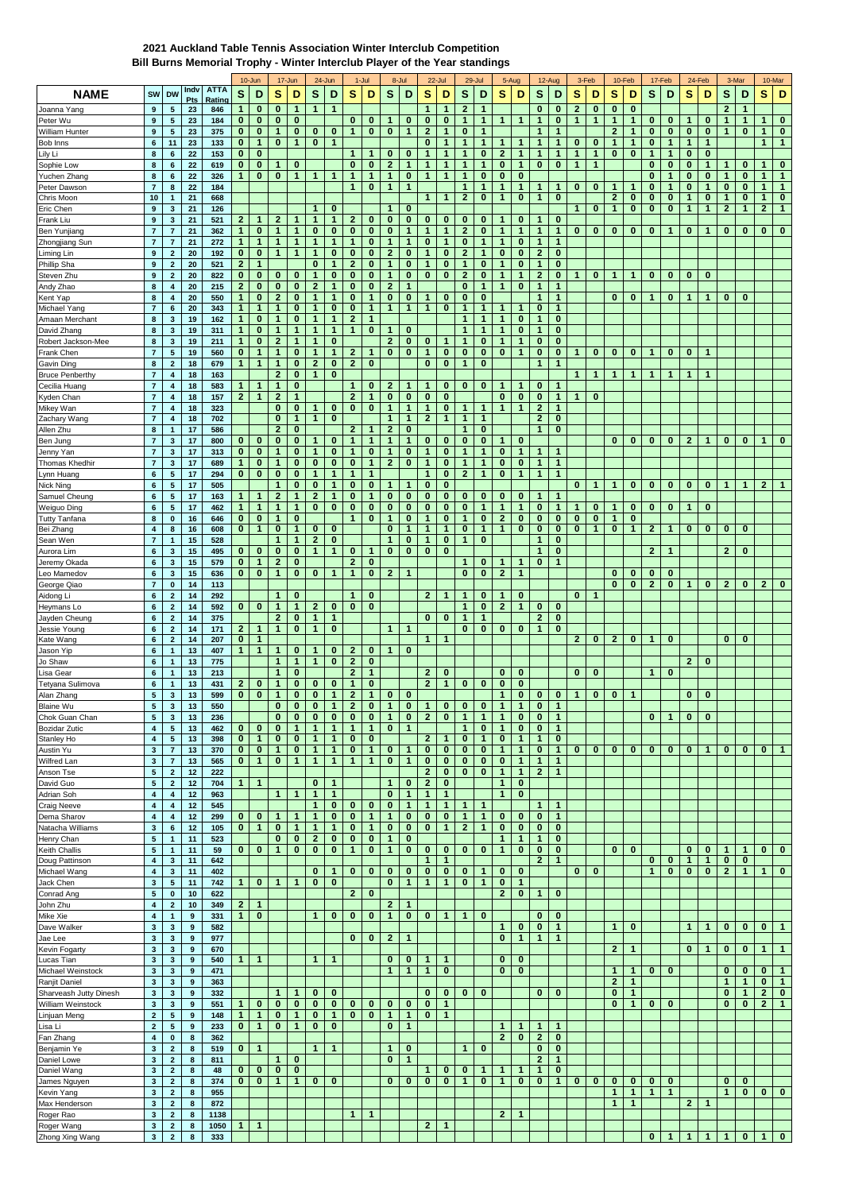## **2021 Auckland Table Tennis Association Winter Interclub Competition Bill Burns Memorial Trophy - Winter Interclub Player of the Year standings**

|                                      |                                         |                                           |                       |                       |                              | 10-Jun                   |                              | 17-Jun                       |                              | 24-Jun               |                              | 1-Jul                        |                              | 8-Jul             |                              | 22-Jul                   |                                | 29-Jul                       |                            | 5-Aug                    |                              | 12-Aug                       |                              | 3-Feb                        |              | 10-Feb       |                          | 17-Feb            |                          | 24-Feb                   |                   | 3-Mar                    |                | 10-Mar       |
|--------------------------------------|-----------------------------------------|-------------------------------------------|-----------------------|-----------------------|------------------------------|--------------------------|------------------------------|------------------------------|------------------------------|----------------------|------------------------------|------------------------------|------------------------------|-------------------|------------------------------|--------------------------|--------------------------------|------------------------------|----------------------------|--------------------------|------------------------------|------------------------------|------------------------------|------------------------------|--------------|--------------|--------------------------|-------------------|--------------------------|--------------------------|-------------------|--------------------------|----------------|--------------|
| <b>NAME</b>                          | SW                                      | <b>DW</b>                                 | Indv<br>Pts           | <b>ATTA</b><br>Rating | S                            | D                        | s                            | D                            | s                            | D                    | s                            | D                            | s                            | D                 | s                            | D                        | s                              | D                            | s                          | D                        | s                            | D                            | s                            | D                            | S            | D            | s                        | D                 | s                        | D                        | s                 | D                        | s              | D            |
| Joanna Yang                          | 9                                       | 5                                         | 23                    | 846                   | 1                            | $\bf{0}$                 | $\bf{0}$                     | 1                            | $\mathbf{1}$                 | -1                   |                              |                              |                              |                   | 1                            | 1                        | $\mathbf{2}$                   | $\mathbf{1}$                 |                            |                          | $\bf{0}$                     | $\bf{0}$                     | $\mathbf{2}$                 | $\bf{0}$                     | $\bf{0}$     | $\bf{0}$     |                          |                   |                          |                          | $\mathbf{2}$      | $\mathbf 1$              |                |              |
| Peter Wu                             | 9                                       | 5                                         | 23                    | 184                   | $\mathbf{0}$                 | $\mathbf 0$              | 0                            | $\bf{0}$                     |                              |                      | 0                            | $\bf{0}$                     | 1                            | 0                 | $\bf{0}$                     | 0                        | $\mathbf{1}$                   | $\mathbf{1}$                 | $\mathbf{1}$               | $\mathbf{1}$             | $\mathbf{1}$                 | $\bf{0}$                     | $\mathbf{1}$                 | $\mathbf{1}$                 | $\mathbf{1}$ | $\mathbf{1}$ | 0                        | $\bf{0}$          | $\mathbf{1}$             | 0                        | $\mathbf{1}$      | $\mathbf{1}$             | $\mathbf{1}$   | $\bf{0}$     |
| William Hunter                       | 9                                       | ${\bf 5}$                                 | 23                    | 375                   | $\bf{0}$                     | $\bf{0}$                 | $\mathbf{1}$                 | 0                            | $\bf{0}$                     | $\bf{0}$             | $\mathbf{1}$                 | $\mathbf{0}$                 | $\bf{0}$                     | $\mathbf{1}$      | $\mathbf{2}$                 | $\mathbf{1}$             | $\bf{0}$                       | 1                            |                            |                          | $\mathbf{1}$                 | 1                            |                              |                              | $\mathbf{2}$ | $\mathbf{1}$ | $\bf{0}$                 | $\bf{0}$          | $\bf{0}$                 | $\bf{0}$                 | $\mathbf{1}$      | $\mathbf{0}$             | 1              | $\bf{0}$     |
| Bob Inns                             | 6                                       | 11                                        | 23                    | 133                   | $\bf{0}$                     | $\mathbf{1}$             | $\bf{0}$                     | $\mathbf{1}$                 | $\bf{0}$                     | $\mathbf{1}$         |                              |                              |                              |                   | 0                            | 1                        | $\mathbf{1}$                   | $\mathbf{1}$                 | 1                          | 1                        | 1                            | 1                            | $\bf{0}$                     | $\bf{0}$                     | 1            | $\mathbf{1}$ | $\bf{0}$                 | 1                 | $\mathbf{1}$             | 1                        |                   |                          | 1              | $\mathbf{1}$ |
| Lily Li                              | 8<br>8                                  | 6<br>6                                    | 22<br>22              | 153<br>619            | 0<br>$\bf{0}$                | $\bf{0}$<br>$\bf{0}$     | $\mathbf{1}$                 | 0                            |                              |                      | $\mathbf{1}$<br>0            | $\mathbf{1}$<br>$\bf{0}$     | 0<br>$\overline{2}$          | 0<br>$\mathbf{1}$ | $\mathbf{1}$<br>1            | $\mathbf{1}$<br>1        | $\mathbf{1}$<br>1              | $\bf{0}$<br>$\mathbf{1}$     | $\overline{2}$<br>$\bf{0}$ | 1<br>1                   | $\mathbf{1}$<br>$\bf{0}$     | $\mathbf{1}$<br>$\bf{0}$     | $\mathbf{1}$<br>$\mathbf{1}$ | $\mathbf{1}$<br>$\mathbf{1}$ | $\bf{0}$     | $\pmb{0}$    | $\mathbf{1}$<br>$\bf{0}$ | $\mathbf{1}$<br>0 | $\bf{0}$<br>$\bf{0}$     | $\bf{0}$<br>1            | $\mathbf{1}$      | $\bf{0}$                 | 1              | $\bf{0}$     |
| Sophie Low<br>Yuchen Zhang           | 8                                       | $\bf 6$                                   | 22                    | 326                   | $\mathbf{1}$                 | $\bf{0}$                 | $\bf{0}$                     | 1                            | $\mathbf{1}$                 | $\mathbf 1$          | $\mathbf{1}$                 | $\mathbf{1}$                 | $\mathbf{1}$                 | 0                 | 1                            | $\mathbf{1}$             | $\mathbf{1}$                   | $\bf{0}$                     | $\bf{0}$                   | $\bf{0}$                 |                              |                              |                              |                              |              |              | 0                        | 1                 | 0                        | 0                        | 1                 | 0                        | 1              | $\mathbf{1}$ |
| Peter Dawson                         | $\overline{7}$                          | 8                                         | 22                    | 184                   |                              |                          |                              |                              |                              |                      | $\mathbf{1}$                 | $\bf{0}$                     | $\mathbf{1}$                 | $\mathbf{1}$      |                              |                          | $\mathbf{1}$                   | $\mathbf{1}$                 | 1                          | $\mathbf{1}$             | 1                            | $\mathbf{1}$                 | 0                            | $\bf{0}$                     | $\mathbf{1}$ | $\mathbf{1}$ | 0                        | 1                 | $\bf{0}$                 | $\mathbf{1}$             | $\bf{0}$          | $\bf{0}$                 | 1              | $\mathbf{1}$ |
| Chris Moon                           | 10                                      | 1                                         | 21                    | 668                   |                              |                          |                              |                              |                              |                      |                              |                              |                              |                   | 1                            | 1                        | $\overline{2}$                 | $\bf{0}$                     | $\mathbf{1}$               | $\bf{0}$                 | $\mathbf{1}$                 | $\bf{0}$                     |                              |                              | $\mathbf{2}$ | $\bf{0}$     | $\bf{0}$                 | 0                 | $\mathbf 1$              | $\bf{0}$                 | $\mathbf{1}$      | $\bf{0}$                 | $\mathbf{1}$   | $\mathbf 0$  |
| Eric Chen                            | $\boldsymbol{9}$                        | 3                                         | 21                    | 126                   |                              |                          |                              |                              | 1                            | $\bf{0}$             |                              |                              |                              | $\bf{0}$          |                              |                          |                                |                              |                            |                          |                              |                              | 1                            | $\bf{0}$                     | 1            | $\bf{0}$     | $\bf{0}$                 | 0                 | $\mathbf{1}$             | $\mathbf{1}$             | $\overline{2}$    | $\mathbf{1}$             | $\overline{2}$ | $\mathbf{1}$ |
| Frank Liu                            | 9                                       | $\mathbf{3}$                              | 21                    | 521                   | $\mathbf{2}$                 | 1                        | $\mathbf{2}$                 | 1                            | $\mathbf{1}$                 | 1                    | $\mathbf{2}$                 | $\bf{0}$                     | $\bf{0}$                     | $\bf{0}$          | 0                            | 0                        | $\bf{0}$                       | $\bf{0}$                     | $\mathbf{1}$               | 0                        | 1                            | $\bf{0}$                     |                              |                              |              |              |                          |                   |                          |                          |                   |                          |                |              |
| Ben Yunjiang                         | $\overline{7}$                          | $\overline{7}$                            | 21                    | 362                   | $\mathbf{1}$                 | $\bf{0}$                 | $\mathbf{1}$                 | $\mathbf{1}$                 | $\bf{0}$                     | $\bf{0}$             | 0                            | $\bf{0}$                     | 0                            | 1                 | 1                            | $\mathbf{1}$             | $\mathbf{2}$                   | 0                            | $\mathbf{1}$               | $\mathbf{1}$             | $\mathbf{1}$                 | $\mathbf{1}$                 | $\bf{0}$                     | 0                            | $\bf{0}$     | 0            | $\bf{0}$                 | 1                 | $\bf{0}$                 | 1                        | 0                 | $\mathbf{0}$             | 0              | $\bf{0}$     |
| Zhongjiang Sun                       | $\overline{7}$                          | $\overline{7}$                            | 21                    | 272                   | $\mathbf{1}$                 | $\mathbf{1}$             | $\mathbf{1}$                 | $\mathbf{1}$                 | -1                           | 1                    | 1                            | $\bf{0}$                     | 1                            | 1                 | 0                            | 1                        | $\bf{0}$                       | $\mathbf{1}$                 | $\mathbf{1}$               | 0                        | $\mathbf{1}$                 | $\mathbf 1$                  |                              |                              |              |              |                          |                   |                          |                          |                   |                          |                |              |
| Liming Lin<br>Phillip Sha            | 9<br>$\boldsymbol{9}$                   | $\overline{2}$<br>$\overline{\mathbf{2}}$ | 20<br>20              | 192<br>521            | $\bf{0}$<br>$\overline{2}$   | $\bf{0}$<br>$\mathbf{1}$ | $\mathbf{1}$                 | 1                            | $\bf{0}$                     | $\bf{0}$<br>1        | 0<br>$\overline{2}$          | 0<br>$\bf{0}$                | $\mathbf{2}$<br>$\mathbf{1}$ | 0<br>0            | 1<br>$\mathbf{1}$            | $\bf{0}$<br>$\bf{0}$     | $\overline{2}$<br>$\mathbf{1}$ | 1<br>$\bf{0}$                | $\bf{0}$<br>$\mathbf{1}$   | 0<br>0                   | $\mathbf{2}$<br>$\mathbf{1}$ | $\bf{0}$<br>$\bf{0}$         |                              |                              |              |              |                          |                   |                          |                          |                   |                          |                |              |
| Steven Zhu                           | $\bf{9}$                                | $\mathbf 2$                               | 20                    | 822                   | $\bf{0}$                     | $\bf{0}$                 | $\bf{0}$                     | 0                            | $\mathbf{1}$                 | $\bf{0}$             | 0                            | $\bf{0}$                     | $\mathbf{1}$                 | 0                 | $\bf{0}$                     | $\bf{0}$                 | $\overline{2}$                 | $\bf{0}$                     | $\mathbf{1}$               | 1                        | $\mathbf{2}$                 | $\bf{0}$                     | 1                            | $\bf{0}$                     | $\mathbf{1}$ | 1            | 0                        | 0                 | $\bf{0}$                 | $\bf{0}$                 |                   |                          |                |              |
| Andy Zhao                            | 8                                       | $\boldsymbol{4}$                          | 20                    | 215                   | $\mathbf{2}$                 | $\bf{0}$                 | $\bf{0}$                     | 0                            | $\mathbf{2}$                 | $\mathbf 1$          | 0                            | 0                            | $\mathbf{2}$                 | 1                 |                              |                          | $\bf{0}$                       | 1                            | $\mathbf{1}$               | 0                        | $\mathbf{1}$                 | $\mathbf{1}$                 |                              |                              |              |              |                          |                   |                          |                          |                   |                          |                |              |
| Kent Yap                             | $\bf8$                                  | $\boldsymbol{4}$                          | 20                    | 550                   | $\mathbf{1}$                 | $\bf{0}$                 | $\mathbf{2}$                 | 0                            | 1                            | 1                    | 0                            | $\mathbf{1}$                 | 0                            | 0                 | 1                            | 0                        | $\bf{0}$                       | $\bf{0}$                     |                            |                          | 1                            | $\mathbf{1}$                 |                              |                              | $\bf{0}$     | $\bf{0}$     | 1                        | 0                 | 1                        | 1                        | 0                 | $\bf{0}$                 |                |              |
| Michael Yang                         | $\overline{7}$                          | 6                                         | 20                    | 343                   | $\mathbf{1}$                 | $\mathbf{1}$             | $\mathbf{1}$                 | 0                            | 1                            | $\bf{0}$             | 0                            | $\mathbf{1}$                 | 1                            | 1                 | $\mathbf{1}$                 | $\bf{0}$                 | 1                              | $\mathbf{1}$                 | 1                          | 1                        | $\bf{0}$                     | 1                            |                              |                              |              |              |                          |                   |                          |                          |                   |                          |                |              |
| Amaan Merchant                       | 8                                       | 3                                         | 19                    | 162                   | $\mathbf{1}$                 | $\bf{0}$                 | $\mathbf{1}$                 | 0                            | $\mathbf{1}$                 | 1                    | $\overline{2}$               | $\mathbf{1}$                 |                              |                   |                              |                          | $\mathbf{1}$                   | $\mathbf{1}$                 | 1                          | $\bf{0}$                 | $\mathbf{1}$                 | $\bf{0}$                     |                              |                              |              |              |                          |                   |                          |                          |                   |                          |                |              |
| David Zhang                          | 8                                       | $\mathbf{3}$                              | 19                    | 311                   | $\mathbf{1}$                 | $\bf{0}$                 | $\mathbf{1}$                 | 1                            | $\mathbf{1}$                 | 1                    | 1                            | $\bf{0}$                     | 1.                           | 0                 |                              |                          | $\mathbf{1}$                   | $\mathbf{1}$                 | $\mathbf{1}$               | 0                        | 1                            | $\bf{0}$                     |                              |                              |              |              |                          |                   |                          |                          |                   |                          |                |              |
| Robert Jackson-Mee                   | 8                                       | 3                                         | 19                    | 211                   | $\mathbf{1}$                 | $\bf{0}$                 | $\mathbf{2}$                 | $\mathbf{1}$                 | $\mathbf{1}$                 | $\bf{0}$             |                              |                              | $\mathbf{2}$                 | 0                 | $\bf{0}$                     | 1                        | $\mathbf{1}$                   | $\bf{0}$                     | 1                          | $\mathbf{1}$             | 0                            | $\bf{0}$                     |                              |                              |              |              |                          |                   |                          |                          |                   |                          |                |              |
| Frank Chen                           | $\overline{7}$                          | ${\bf 5}$                                 | 19                    | 560                   | $\bf{0}$                     | $\mathbf{1}$             | $\mathbf{1}$                 | 0                            | 1                            | 1                    | $\mathbf{z}$                 | $\mathbf{1}$                 | $\bf{0}$                     | $\bf{0}$          | 1                            | 0                        | $\bf{0}$                       | 0                            | $\bf{0}$                   | $\mathbf{1}$             | 0                            | $\bf{0}$<br>$\overline{1}$   | $\mathbf{1}$                 | $\bf{0}$                     | $\bf{0}$     | $\bf{0}$     | $\mathbf 1$              | 0                 | $\bf{0}$                 | $\mathbf 1$              |                   |                          |                |              |
| Gavin Ding<br><b>Bruce Penberthy</b> | 8<br>$\overline{7}$                     | $\overline{\mathbf{2}}$<br>4              | 18<br>18              | 679<br>163            | $\mathbf{1}$                 | $\mathbf{1}$             | 1<br>$\mathbf{2}$            | 0<br>0                       | $\mathbf{2}$<br>$\mathbf{1}$ | $\bf{0}$<br>$\bf{0}$ | $\mathbf{2}$                 | $\bf{0}$                     |                              |                   | $\bf{0}$                     | $\bf{0}$                 | 1                              | 0                            |                            |                          | $\mathbf{1}$                 |                              | 1                            | 1                            | 1            | $\mathbf{1}$ | 1                        | 1                 | $\overline{1}$           | $\mathbf{1}$             |                   |                          |                |              |
| Cecilia Huang                        | $\overline{7}$                          | $\boldsymbol{4}$                          | 18                    | 583                   | 1                            | $\mathbf{1}$             | $\mathbf{1}$                 | $\bf{0}$                     |                              |                      | $\mathbf{1}$                 | $\bf{0}$                     | $\mathbf{2}$                 | 1                 | 1                            | 0                        | $\bf{0}$                       | $\bf{0}$                     | $\mathbf{1}$               | 1                        | 0                            | 1                            |                              |                              |              |              |                          |                   |                          |                          |                   |                          |                |              |
| Kyden Chan                           | $\overline{7}$                          | $\boldsymbol{4}$                          | 18                    | 157                   | $\mathbf{2}$                 | $\mathbf{1}$             | $\mathbf{2}$                 | 1                            |                              |                      | $\mathbf{2}$                 | $\mathbf{1}$                 | $\mathbf{0}$                 | 0                 | $\bf{0}$                     | 0                        |                                |                              | $\bf{0}$                   | $\bf{0}$                 | 0                            | $\mathbf{1}$                 | 1                            | $\bf{0}$                     |              |              |                          |                   |                          |                          |                   |                          |                |              |
| Mikey Wan                            | $\overline{7}$                          | $\boldsymbol{4}$                          | 18                    | 323                   |                              |                          | $\bf{0}$                     | $\bf{0}$                     | 1                            | $\mathbf 0$          | 0                            | $\bf{0}$                     | 1                            | $\mathbf{1}$      | 1                            | 0                        | $\mathbf{1}$                   | $\mathbf{1}$                 | $\mathbf{1}$               | $\mathbf{1}$             | $\mathbf{2}$                 | $\mathbf{1}$                 |                              |                              |              |              |                          |                   |                          |                          |                   |                          |                |              |
| Zachary Wang                         | $\overline{7}$                          | 4                                         | 18                    | 702                   |                              |                          | $\bf{0}$                     | $\mathbf{1}$                 | $\mathbf{1}$                 | $\bf{0}$             |                              |                              | $\mathbf{1}$                 | 1                 | $\mathbf{2}$                 | $\mathbf{1}$             | 1                              | $\mathbf{1}$                 |                            |                          | $\mathbf{2}$                 | $\bf{0}$                     |                              |                              |              |              |                          |                   |                          |                          |                   |                          |                |              |
| Allen Zhu                            | 8                                       | 1                                         | 17                    | 586                   |                              |                          | $\overline{2}$               | $\bf{0}$                     |                              |                      | $\overline{2}$               | $\mathbf{1}$                 | $\mathbf{2}$                 | 0                 |                              |                          | $\mathbf{1}$                   | 0                            |                            |                          | $\mathbf{1}$                 | $\bf{0}$                     |                              |                              |              |              |                          |                   |                          |                          |                   |                          |                |              |
| Ben Jung                             | $\overline{7}$                          | $\mathbf 3$                               | 17                    | 800                   | $\mathbf{0}$                 | $\bf{0}$                 | $\bf{0}$                     | $\bf{0}$                     | -1                           | $\bf{0}$             | 1                            | $\mathbf{1}$                 | $\mathbf{1}$                 | 1                 | $\bf{0}$                     | 0                        | $\bf{0}$                       | $\bf{0}$                     | $\mathbf{1}$               | $\bf{0}$                 |                              |                              |                              |                              | $\bf{0}$     | 0            | $\bf{0}$                 | 0                 | $\mathbf{2}$             | 1                        | $\bf{0}$          | $\bf{0}$                 | $\mathbf{1}$   | $\bf{0}$     |
| Jenny Yan                            | $\overline{7}$<br>$\overline{7}$        | 3<br>$\mathbf{3}$                         | 17<br>17              | 313<br>689            | $\mathbf{0}$<br>$\mathbf{1}$ | $\bf{0}$<br>$\bf{0}$     | $\mathbf{1}$<br>$\mathbf{1}$ | $\bf{0}$<br>0                | $\mathbf{1}$<br>$\bf{0}$     | $\bf{0}$<br>$\bf{0}$ | 1<br>0                       | $\bf{0}$<br>$\mathbf{1}$     | $\mathbf{1}$<br>$\mathbf{2}$ | 0<br>$\bf{0}$     | $\mathbf{1}$<br>$\mathbf{1}$ | 0<br>0                   | $\mathbf{1}$<br>$\mathbf{1}$   | $\mathbf{1}$<br>$\mathbf{1}$ | $\bf{0}$<br>$\bf{0}$       | $\mathbf{1}$<br>$\bf{0}$ | $\mathbf{1}$<br>$\mathbf{1}$ | $\mathbf{1}$<br>$\mathbf{1}$ |                              |                              |              |              |                          |                   |                          |                          |                   |                          |                |              |
| Thomas Khedhir<br>Lynn Huang         | $6\phantom{1}6$                         | ${\bf 5}$                                 | 17                    | 294                   | $\bf{0}$                     | $\bf{0}$                 | $\bf{0}$                     | 0                            | 1                            | 1                    | 1                            | 1                            |                              |                   | 1                            | $\bf{0}$                 | $\mathbf{2}$                   | $\mathbf{1}$                 | $\bf{0}$                   | 1                        | 1                            | 1                            |                              |                              |              |              |                          |                   |                          |                          |                   |                          |                |              |
| Nick Ning                            | $\bf 6$                                 | 5                                         | 17                    | 505                   |                              |                          | $\mathbf{1}$                 | 0                            | $\bf{0}$                     | 1                    | 0                            | $\bf{0}$                     | 1                            | 1                 | $\bf{0}$                     | $\bf{0}$                 |                                |                              |                            |                          |                              |                              | 0                            | $\mathbf{1}$                 | 1            | $\bf{0}$     | $\bf{0}$                 | 0                 | $\bf{0}$                 | $\bf{0}$                 | $\mathbf{1}$      | $\mathbf{1}$             | $\mathbf{2}$   | $\mathbf{1}$ |
| Samuel Cheung                        | $6\phantom{1}6$                         | ${\bf 5}$                                 | 17                    | 163                   | $\mathbf{1}$                 | $\mathbf{1}$             | $\overline{2}$               | $\mathbf{1}$                 | $\mathbf{2}$                 | $\mathbf 1$          | 0                            | $\mathbf{1}$                 | $\bf{0}$                     | 0                 | $\bf{0}$                     | 0                        | $\bf{0}$                       | $\bf{0}$                     | $\bf{0}$                   | 0                        | 1                            | $\mathbf 1$                  |                              |                              |              |              |                          |                   |                          |                          |                   |                          |                |              |
| Weiguo Ding                          | 6                                       | 5                                         | 17                    | 462                   | $\mathbf{1}$                 | $\mathbf{1}$             | $\mathbf{1}$                 | 1                            | $\bf{0}$                     | $\bf{0}$             | 0                            | $\bf{0}$                     | $\mathbf{0}$                 | 0                 | $\bf{0}$                     | 0                        | $\bf{0}$                       | 1                            | $\mathbf{1}$               | 1                        | 0                            | $\mathbf 1$                  | 1                            | $\bf{0}$                     | 1            | 0            | 0                        | 0                 | -1                       | $\bf{0}$                 |                   |                          |                |              |
| <b>Tutty Tanfana</b>                 | $\bf8$                                  | $\pmb{0}$                                 | 16                    | 646                   | 0                            | $\bf{0}$                 | $\mathbf{1}$                 | 0                            |                              |                      | $\mathbf{1}$                 | $\bf{0}$                     | 1                            | 0                 | $\mathbf{1}$                 | 0                        | $\mathbf{1}$                   | $\bf{0}$                     | $\mathbf{2}$               | $\bf{0}$                 | 0                            | $\bf{0}$                     | $\bf{0}$                     | $\bf{0}$                     | 1            | $\bf{0}$     |                          |                   |                          |                          |                   |                          |                |              |
| Bei Zhang                            | $\overline{\mathbf{4}}$                 | 8                                         | 16                    | 608                   | $\bf{0}$                     | $\mathbf{1}$             | $\bf{0}$                     | 1                            | $\bf{0}$                     | $\bf{0}$             |                              |                              | $\bf{0}$                     | 1                 | 1                            | $\mathbf{1}$             | 0                              | $\mathbf{1}$                 | $\mathbf{1}$               | $\bf{0}$                 | $\bf{0}$                     | $\bf{0}$                     | $\bf{0}$                     | 1                            | 0            | $\mathbf{1}$ | $\mathbf{2}$             | 1                 | $\bf{0}$                 | $\bf{0}$                 | 0                 | $\bf{0}$                 |                |              |
| Sean Wen                             | $\overline{7}$                          | 1                                         | 15                    | 528                   |                              |                          | 1                            | 1                            | $\mathbf{2}$                 | $\bf{0}$             |                              |                              |                              | 0                 | 1                            | $\bf{0}$                 | $\mathbf{1}$                   | $\bf{0}$                     |                            |                          | $\mathbf{1}$                 | $\bf{0}$                     |                              |                              |              |              |                          |                   |                          |                          |                   |                          |                |              |
| Aurora Lim                           | $\bf 6$                                 | $\mathbf 3$                               | 15                    | 495                   | $\mathbf{0}$                 | $\bf{0}$<br>$\mathbf{1}$ | $\bf{0}$<br>$\mathbf{2}$     | $\bf{0}$<br>$\bf{0}$         | $\mathbf{1}$                 | 1                    | 0                            | $\mathbf{1}$<br>$\bf{0}$     | $\bf{0}$                     | $\bf{0}$          | $\bf{0}$                     | $\bf{0}$                 | $\mathbf{1}$                   |                              | 1                          |                          | 1                            | $\bf{0}$<br>$\mathbf{1}$     |                              |                              |              |              | $\overline{2}$           | $\mathbf{1}$      |                          |                          | $\mathbf{2}$      | $\bf{0}$                 |                |              |
| Jeremy Okada<br>Leo Mamedov          | 6<br>$6\phantom{1}6$                    | 3<br>$\mathbf{3}$                         | 15<br>15              | 579<br>636            | $\mathbf{0}$<br>$\mathbf{0}$ | $\bf{0}$                 | $\mathbf{1}$                 | $\mathbf{0}$                 | $\bf{0}$                     | $\mathbf{1}$         | $\mathbf{2}$<br>$\mathbf{1}$ | $\bf{0}$                     | $\mathbf{2}$                 | 1                 |                              |                          | $\bf{0}$                       | $\bf{0}$<br>0                | $\mathbf{2}$               | 1<br>$\mathbf{1}$        | $\bf{0}$                     |                              |                              |                              | 0            | $\bf{0}$     | 0                        | 0                 |                          |                          |                   |                          |                |              |
| George Qiao                          | $\overline{7}$                          | 0                                         | 14                    | 113                   |                              |                          |                              |                              |                              |                      |                              |                              |                              |                   |                              |                          |                                |                              |                            |                          |                              |                              |                              |                              | $\bf{0}$     | $\bf{0}$     | $\mathbf{2}$             | 0                 | $\mathbf{1}$             | $\bf{0}$                 | $\mathbf{2}$      | $\bf{0}$                 | $\mathbf{z}$   | $\bf{0}$     |
| Aidong Li                            | $\bf 6$                                 | $\overline{\mathbf{2}}$                   | 14                    | 292                   |                              |                          | 1                            | $\bf{0}$                     |                              |                      | 1                            | $\bf{0}$                     |                              |                   | $\overline{2}$               | $\mathbf{1}$             | 1                              | $\bf{0}$                     | $\mathbf{1}$               | 0                        |                              |                              | $\bf{0}$                     | $\mathbf{1}$                 |              |              |                          |                   |                          |                          |                   |                          |                |              |
| Heymans Lo                           | $6\phantom{1}6$                         | $\mathbf 2$                               | 14                    | 592                   | $\mathbf{0}$                 | $\bf{0}$                 | $\mathbf{1}$                 | $\mathbf{1}$                 | $\mathbf{2}$                 | $\bf{0}$             | 0                            | $\bf{0}$                     |                              |                   |                              |                          | $\mathbf{1}$                   | $\bf{0}$                     | $\mathbf{2}$               | $\mathbf{1}$             | 0                            | $\bf{0}$                     |                              |                              |              |              |                          |                   |                          |                          |                   |                          |                |              |
| Jayden Cheung                        | $\bf 6$                                 | $\mathbf 2$                               | 14                    | 375                   |                              |                          | $\mathbf{2}$                 | 0                            | $\mathbf{1}$                 | 1                    |                              |                              |                              |                   | $\bf{0}$                     | $\bf{0}$                 | $\mathbf{1}$                   | $\mathbf{1}$                 |                            |                          | $\mathbf{2}$                 | $\bf{0}$                     |                              |                              |              |              |                          |                   |                          |                          |                   |                          |                |              |
| Jessie Young                         | $6\phantom{1}6$                         | $\mathbf 2$                               | 14                    | 171                   | $\mathbf{2}$                 | $\mathbf{1}$             | $\mathbf{1}$                 | $\bf{0}$                     | $\mathbf{1}$                 | $\bf{0}$             |                              |                              | 1                            | $\mathbf{1}$      |                              |                          | $\bf{0}$                       | $\bf{0}$                     | $\bf{0}$                   | $\mathbf 0$              | $\mathbf{1}$                 | $\bf{0}$                     |                              |                              |              |              |                          |                   |                          |                          |                   |                          |                |              |
| Kate Wang                            | 6                                       | $\mathbf 2$                               | 14                    | 207                   | 0                            | $\mathbf{1}$             |                              |                              |                              |                      |                              |                              |                              |                   | 1                            | 1                        |                                |                              |                            |                          |                              |                              | $\mathbf{2}$                 | $\bf{0}$                     | $\mathbf{2}$ | 0            | 1                        | 0                 |                          |                          | 0                 | 0                        |                |              |
| Jason Yip                            | $\bf 6$                                 | 1<br>$\mathbf{1}$                         | 13<br>13              | 407                   | 1                            | $\mathbf{1}$             | 1<br>$\mathbf{1}$            | 0<br>$\mathbf{1}$            | 1                            | 0<br>$\bf{0}$        | $\mathbf{2}$<br>$\mathbf{2}$ | 0<br>$\bf{0}$                | $\mathbf{1}$                 | 0                 |                              |                          |                                |                              |                            |                          |                              |                              |                              |                              |              |              |                          |                   | $\overline{2}$           | $\mathbf{0}$             |                   |                          |                |              |
| Jo Shaw<br>Lisa Gear                 | $6\phantom{1}6$<br>6                    | $\mathbf{1}$                              | 13                    | 775<br>213            |                              |                          | $\mathbf{1}$                 | $\bf{0}$                     |                              |                      | $\mathbf{2}$                 | $\mathbf{1}$                 |                              |                   | $\overline{2}$               | $\bf{0}$                 |                                |                              | $\bf{0}$                   | 0                        |                              |                              | $\bf{0}$                     | 0                            |              |              | $\mathbf{1}$             | 0                 |                          |                          |                   |                          |                |              |
| Tetyana Sulimova                     | $6\phantom{1}6$                         | 1                                         | 13                    | 431                   | $\mathbf{2}$                 | 0                        | $\mathbf{1}$                 | 0                            | $\bf{0}$                     | $\bf{0}$             | $\mathbf{1}$                 | $\bf{0}$                     |                              |                   | $\mathbf{2}$                 | $\mathbf{1}$             | $\bf{0}$                       | 0                            | $\bf{0}$                   | $\bf{0}$                 |                              |                              |                              |                              |              |              |                          |                   |                          |                          |                   |                          |                |              |
| Alan Zhang                           | ${\bf 5}$                               | $\mathbf{3}$                              | 13                    | 599                   | $\bf{0}$                     | $\bf{0}$                 | 1                            | 0                            | $\bf{0}$                     | $\mathbf{1}$         | $\boldsymbol{2}$             | $\mathbf{1}$                 | 0                            | 0                 |                              |                          |                                |                              | 1                          | 0                        | 0                            | $\bf{0}$                     | $\mathbf{1}$                 | 0                            | 0            | $\mathbf{1}$ |                          |                   | $\bf{0}$                 | $\bf{0}$                 |                   |                          |                |              |
| <b>Blaine Wu</b>                     | $\overline{\mathbf{5}}$                 | 3                                         | 13                    | 550                   |                              |                          | $\bf{0}$                     | $\bf{0}$                     | $\bf{0}$                     | 1                    | $\overline{2}$               | $\bf{0}$                     | $\mathbf{1}$                 | $\mathbf 0$       | $\mathbf{1}$                 | $\bf{0}$                 | $\bf{0}$                       | $\bf{0}$                     | 1                          | $\mathbf{1}$             | $\bf{0}$                     | $\mathbf{1}$                 |                              |                              |              |              |                          |                   |                          |                          |                   |                          |                |              |
| Chok Guan Chan                       | $\sqrt{5}$                              | $\mathbf 3$                               | 13                    | 236                   |                              |                          | $\mathbf{0}$                 | $\mathbf{0}$                 | $\bf{0}$                     | $\mathbf 0$          | $\bf{0}$                     | $\bf{0}$                     | $\mathbf{1}$                 | 0                 | $\mathbf{2}$                 | $\bf{0}$                 | $\mathbf{1}$                   | $\mathbf{1}$                 | $\mathbf{1}$               | 0                        | 0                            | $\mathbf{1}$                 |                              |                              |              |              | $\mathbf{0}$             | $\mathbf{1}$      | $\mathbf{0}$             | $\mathbf 0$              |                   |                          |                |              |
| <b>Bozidar Zutic</b>                 | $\overline{\mathbf{4}}$                 | ${\bf 5}$                                 | 13                    | 462                   | 0                            | $\mathbf 0$              | $\bf{0}$                     | $\mathbf{1}$                 | $\blacktriangleleft$         | $\mathbf{1}$         | $\mathbf{1}$                 | $\mathbf{1}$                 | $\mathbf 0$                  | $\overline{1}$    |                              |                          | $\mathbf{1}$                   | $\bf{0}$                     | $\mathbf{1}$               | $\bf{0}$                 | $\bf{0}$                     | $\mathbf{1}$                 |                              |                              |              |              |                          |                   |                          |                          |                   |                          |                |              |
| Stanley Ho                           | $\boldsymbol{4}$                        | ${\bf 5}$                                 | 13                    | 398                   | $\bf{0}$                     | $\mathbf{1}$             | $\bf{0}$                     | $\mathbf 0$                  | $\mathbf{1}$                 | $\mathbf{1}$         | $\bf{0}$                     | $\bf{0}$                     |                              |                   | $\mathbf{z}$                 | $\mathbf{1}$             | $\bf{0}$                       | $\mathbf{1}$                 | $\bf{0}$                   | $\mathbf{1}$             | $\mathbf{1}$                 | $\bf{0}$                     |                              |                              |              |              |                          |                   |                          |                          |                   |                          |                |              |
| Austin Yu<br>Wilfred Lan             | $\mathbf 3$<br>$\mathbf 3$              | $\overline{7}$<br>$\bf 7$                 | 13<br>13              | 370<br>565            | $\mathbf{0}$<br>0            | $\bf{0}$<br>$\mathbf{1}$ | $\mathbf{1}$<br>$\bf{0}$     | $\mathbf{0}$<br>$\mathbf{1}$ | $\mathbf{1}$<br>$\mathbf{1}$ | 1<br>$\mathbf{1}$    | 0<br>$\mathbf{1}$            | $\mathbf{1}$<br>$\mathbf{1}$ | $\mathbf{0}$<br>$\bf{0}$     | $\mathbf{1}$<br>1 | $\bf{0}$<br>0                | $\bf{0}$<br>$\bf{0}$     | $\bf{0}$<br>$\bf{0}$           | $\bf{0}$<br>$\bf{0}$         | $\mathbf{1}$<br>$\bf{0}$   | $\mathbf{1}$<br>1        | $\bf{0}$<br>$\mathbf{1}$     | $\mathbf{1}$<br>$\mathbf{1}$ | $\mathbf{0}$                 | $\bf{0}$                     | $\bf{0}$     | $\mathbf{0}$ | $\mathbf{0}$             | $\bf{0}$          | $\bf{0}$                 | $\mathbf{1}$             | $\bf{0}$          | $\mathbf{0}$             | $\mathbf{0}$   | $\mathbf{1}$ |
| Anson Tse                            | ${\bf 5}$                               | $\mathbf 2$                               | 12                    | 222                   |                              |                          |                              |                              |                              |                      |                              |                              |                              |                   | $\mathbf{2}$                 | $\bf{0}$                 | $\bf{0}$                       | $\bf{0}$                     | $\mathbf{1}$               | $\mathbf{1}$             | 2 <sub>1</sub>               | $\mathbf{1}$                 |                              |                              |              |              |                          |                   |                          |                          |                   |                          |                |              |
| David Guo                            | 5                                       | $\mathbf 2$                               | 12                    | 704                   | $\mathbf{1}$                 | $\mathbf{1}$             |                              |                              | $\bf{0}$                     | $\mathbf{1}$         |                              |                              | $\mathbf{1}$                 | $\bf{0}$          | $\mathbf{2}$                 | $\bf{0}$                 |                                |                              | $\mathbf{1}$               | $\bf{0}$                 |                              |                              |                              |                              |              |              |                          |                   |                          |                          |                   |                          |                |              |
| Adrian Soh                           | $\overline{\mathbf{4}}$                 | $\boldsymbol{4}$                          | 12                    | 963                   |                              |                          | $\mathbf{1}$                 | $\mathbf{1}$                 | $\mathbf{1}$                 | $\mathbf{1}$         |                              |                              | $\bf{0}$                     | $\mathbf{1}$      | $\mathbf{1}$                 | $\mathbf{1}$             |                                |                              | $\mathbf{1}$               | $\bf{0}$                 |                              |                              |                              |                              |              |              |                          |                   |                          |                          |                   |                          |                |              |
| Craig Neeve                          | $\pmb{4}$                               | 4                                         | 12                    | 545                   |                              |                          |                              |                              | $\mathbf{1}$                 | $\bf{0}$             | 0                            | $\bf{0}$                     | $\mathbf 0$                  | $\mathbf{1}$      | 1                            | 1                        | $\mathbf{1}$                   | $\mathbf{1}$                 |                            |                          | 1                            | $\mathbf{1}$                 |                              |                              |              |              |                          |                   |                          |                          |                   |                          |                |              |
| Dema Sharov                          | 4                                       | 4                                         | 12                    | 299                   | $\mathbf{0}$                 | $\bf{0}$                 | $\mathbf{1}$                 | $\mathbf{1}$                 | $\mathbf{1}$                 | $\bf{0}$             | 0                            | $\mathbf{1}$                 | $\mathbf{1}$                 | $\bf{0}$          | $\bf{0}$                     | $\bf{0}$                 | $\mathbf{1}$                   | $\mathbf{1}$                 | $\bf{0}$                   | 0                        | 0                            | $\mathbf{1}$                 |                              |                              |              |              |                          |                   |                          |                          |                   |                          |                |              |
| Natacha Williams                     | $\mathbf{3}$                            | $\bf 6$                                   | 12                    | 105                   | $\mathbf{0}$                 | $\mathbf{1}$             | $\bf{0}$                     | $\mathbf{1}$                 | $\mathbf{1}$                 | $\mathbf{1}$         | $\bf{0}$                     | $\mathbf{1}$                 | $\mathbf 0$                  | $\bf{0}$          | $\bf{0}$                     | $\mathbf{1}$             | $\mathbf{2}$                   | $\mathbf{1}$                 | $\bf{0}$                   | $\bf{0}$                 | $\bf{0}$                     | $\mathbf 0$                  |                              |                              |              |              |                          |                   |                          |                          |                   |                          |                |              |
| Henry Chan                           | ${\bf 5}$                               | $\mathbf{1}$                              | 11                    | 523                   |                              |                          | $\mathbf{0}$                 | $\mathbf{0}$                 | $\mathbf{2}$                 | $\mathbf 0$          | $\bf{0}$                     | $\bf{0}$                     | 1                            | $\bf{0}$          |                              |                          |                                |                              | $\mathbf{1}$               | $\mathbf{1}$             | $\mathbf{1}$                 | $\mathbf{0}$                 |                              |                              |              |              |                          |                   |                          |                          |                   |                          |                |              |
| Keith Challis<br>Doug Pattinson      | ${\bf 5}$<br>$\pmb{4}$                  | $\ddot{\phantom{0}}$<br>$\mathbf{3}$      | 11<br>11              | 59<br>642             | $\mathbf{0}$                 | $\bf{0}$                 | $\mathbf{1}$                 | $\bf{0}$                     | $\bf{0}$                     | $\mathbf 0$          | $\mathbf{1}$                 | $\bf{0}$                     | 1                            | $\bf{0}$          | $\bf{0}$<br>1                | $\bf{0}$<br>$\mathbf{1}$ | $\bf{0}$                       | $\bf{0}$                     | $\mathbf{1}$               | $\bf{0}$                 | $\bf{0}$<br>$\mathbf{2}$     | $\bf{0}$<br>$\mathbf{1}$     |                              |                              | $\bf{0}$     | $\bf{0}$     | $\mathbf 0$              | 0                 | $\bf{0}$<br>$\mathbf{1}$ | $\bf{0}$<br>$\mathbf{1}$ | $\mathbf{1}$<br>0 | $\mathbf{1}$<br>$\bf{0}$ | $\mathbf{0}$   | $\bf{0}$     |
| Michael Wang                         | $\pmb{4}$                               | $\mathbf{3}$                              | 11                    | 402                   |                              |                          |                              |                              | $\bf{0}$                     | 1                    | 0                            | $\bf{0}$                     | $\bf{0}$                     | $\bf{0}$          | 0                            | 0                        | $\bf{0}$                       | $\mathbf{1}$                 | 0                          | $\bf{0}$                 |                              |                              | $\bf{0}$                     | $\bf{0}$                     |              |              | $\mathbf{1}$             | 0                 | $\bf{0}$                 | $\bf{0}$                 | $\mathbf{2}$      | $\mathbf{1}$             | $\mathbf{1}$   | $\bf{0}$     |
| Jack Chen                            | $\mathbf{3}$                            | ${\bf 5}$                                 | 11                    | 742                   | $\mathbf{1}$                 | $\bf{0}$                 | $\mathbf{1}$                 | $\mathbf{1}$                 | $\bf{0}$                     | $\mathbf 0$          |                              |                              | $\mathbf{0}$                 | $\mathbf{1}$      | $\mathbf{1}$                 | $\mathbf{1}$             | $\bf{0}$                       | $\mathbf{1}$                 | $\bf{0}$                   | $\mathbf{1}$             |                              |                              |                              |                              |              |              |                          |                   |                          |                          |                   |                          |                |              |
| Conrad Ang                           | 5                                       | $\pmb{0}$                                 | 10                    | 622                   |                              |                          |                              |                              |                              |                      | $\mathbf{2}$                 | $\bf{0}$                     |                              |                   |                              |                          |                                |                              | $\mathbf{2}$               | $\mathbf{0}$             | $\mathbf{1}$                 | $\mathbf 0$                  |                              |                              |              |              |                          |                   |                          |                          |                   |                          |                |              |
| John Zhu                             | $\overline{\mathbf{4}}$                 | $\mathbf 2$                               | 10                    | 349                   | $\mathbf{2}$                 | $\mathbf{1}$             |                              |                              |                              |                      |                              |                              | $\mathbf{2}$                 | $\mathbf{1}$      |                              |                          |                                |                              |                            |                          |                              |                              |                              |                              |              |              |                          |                   |                          |                          |                   |                          |                |              |
| Mike Xie                             | 4                                       | $\mathbf{1}$                              | 9                     | 331                   | $\mathbf{1}$                 | $\bf{0}$                 |                              |                              | 1                            | $\bf{0}$             | $\bf{0}$                     | $\bf{0}$                     | $\mathbf{1}$                 | $\mathbf{0}$      | $\bf{0}$                     | $\mathbf{1}$             | $\mathbf{1}$                   | $\bf{0}$                     |                            |                          | 0                            | $\bf{0}$                     |                              |                              |              |              |                          |                   |                          |                          |                   |                          |                |              |
| Dave Walker                          | $\mathbf 3$                             | $\mathbf 3$                               | 9                     | 582                   |                              |                          |                              |                              |                              |                      |                              |                              |                              |                   |                              |                          |                                |                              | $\mathbf{1}$               | 0                        | 0                            | $\mathbf{1}$                 |                              |                              | $\mathbf{1}$ | $\bf{0}$     |                          |                   | $\mathbf{1}$             | $\mathbf{1}$             | $\bf{0}$          | $\bf{0}$                 | $\mathbf{0}$   | $\mathbf{1}$ |
| Jae Lee                              | $\mathbf{3}$                            | $\mathbf{3}$                              | 9                     | 977                   |                              |                          |                              |                              |                              |                      | 0                            | $\bf{0}$                     | $\mathbf{2}$                 | $\mathbf{1}$      |                              |                          |                                |                              | $\mathbf{0}$               | $\mathbf{1}$             | $\mathbf{1}$                 | $\mathbf{1}$                 |                              |                              |              | $\mathbf{1}$ |                          |                   | $\mathbf{0}$             |                          |                   |                          |                | $\mathbf{1}$ |
| Kevin Fogarty<br>Lucas Tian          | $\mathbf{3}$<br>$\overline{\mathbf{3}}$ | $\mathbf{3}$<br>$\mathbf 3$               | $\boldsymbol{9}$<br>9 | 670<br>540            | $\mathbf{1}$                 | $\mathbf{1}$             |                              |                              | $\mathbf{1}$                 | $\overline{1}$       |                              |                              | $\bf{0}$                     | $\bf{0}$          | $\mathbf{1}$                 | $\mathbf{1}$             |                                |                              | $\bf{0}$                   | $\bf{0}$                 |                              |                              |                              |                              | $\mathbf{z}$ |              |                          |                   |                          | $\mathbf{1}$             | 0                 | $\bf{0}$                 | $\mathbf{1}$   |              |
| Michael Weinstock                    | $\mathbf{3}$                            | $\mathbf{3}$                              | 9                     | 471                   |                              |                          |                              |                              |                              |                      |                              |                              | $\mathbf{1}$                 | $\mathbf{1}$      | $\mathbf{1}$                 | $\bf{0}$                 |                                |                              | $\mathbf{0}$               | $\mathbf 0$              |                              |                              |                              |                              | 1            | 1            | $\mathbf{0}$             | $\bf{0}$          |                          |                          | $\bf{0}$          | $\bf{0}$                 | $\mathbf 0$    | $\mathbf{1}$ |
| Ranjit Daniel                        | $\mathbf 3$                             | $\mathbf 3$                               | 9                     | 363                   |                              |                          |                              |                              |                              |                      |                              |                              |                              |                   |                              |                          |                                |                              |                            |                          |                              |                              |                              |                              | $\mathbf{2}$ | $\mathbf{1}$ |                          |                   |                          |                          | $\mathbf{1}$      | $\mathbf{1}$             | $\bf{0}$       | $\mathbf{1}$ |
| Sharveash Jutty Dinesh               | $\mathbf{3}$                            | $\mathbf{3}$                              | 9                     | 332                   |                              |                          | $\mathbf{1}$                 | 1                            | $\bf{0}$                     | $\mathbf 0$          |                              |                              |                              |                   | $\bf{0}$                     | $\bf{0}$                 | $\bf{0}$                       | $\bf{0}$                     |                            |                          | $\mathbf{0}$                 | $\mathbf 0$                  |                              |                              | $\bf{0}$     | $\mathbf{1}$ |                          |                   |                          |                          | 0                 | $\mathbf{1}$             | $\mathbf{2}$   | $\mathbf 0$  |
| William Weinstock                    | $\mathbf 3$                             | $\mathbf{3}$                              | 9                     | 551                   | $\mathbf{1}$                 | $\bf{0}$                 | $\mathbf{0}$                 | $\mathbf{0}$                 | $\mathbf{0}$                 | $\bf{0}$             | $\bf{0}$                     | $\bf{0}$                     | $\mathbf{0}$                 | $\bf{0}$          | $\bf{0}$                     | $\mathbf{1}$             |                                |                              |                            |                          |                              |                              |                              |                              | 0            | $\mathbf{1}$ | $\mathbf{0}$             | $\mathbf 0$       |                          |                          | 0                 | $\mathbf{0}$             | 2 <sup>2</sup> | $\mathbf{1}$ |
| Linjuan Meng                         | $\mathbf{2}$                            | ${\bf 5}$                                 | 9                     | 148                   | $\mathbf{1}$                 | $\mathbf{1}$             | $\bf{0}$                     | $\mathbf{1}$                 | $\bf{0}$                     | $\mathbf{1}$         | $\bf{0}$                     | $\bf{0}$                     | $\mathbf{1}$                 | $\mathbf{1}$      | $\mathbf 0$                  | $\mathbf{1}$             |                                |                              |                            |                          |                              |                              |                              |                              |              |              |                          |                   |                          |                          |                   |                          |                |              |
| Lisa Li                              | $\mathbf 2$                             | ${\bf 5}$                                 | 9                     | 233                   | $\bf{0}$                     | $\mathbf{1}$             | $\bf{0}$                     | $\mathbf{1}$                 | $\bf{0}$                     | $\bf{0}$             |                              |                              | $\mathbf{0}$                 | $\mathbf{1}$      |                              |                          |                                |                              | $\mathbf{1}$               | $\mathbf{1}$             | $\mathbf{1}$                 | $\mathbf{1}$                 |                              |                              |              |              |                          |                   |                          |                          |                   |                          |                |              |
| Fan Zhang                            | 4                                       | 0                                         | 8                     | 362                   |                              |                          |                              |                              |                              |                      |                              |                              |                              |                   |                              |                          |                                |                              | $\mathbf{2}$               | $\bf{0}$                 | $\mathbf{2}$                 | $\bf{0}$                     |                              |                              |              |              |                          |                   |                          |                          |                   |                          |                |              |
| Benjamin Ye                          | $\mathbf{3}$                            | $\mathbf{2}$                              | 8                     | 519                   | $\mathbf{0}$                 | $\mathbf{1}$             |                              |                              | $\mathbf{1}$                 | $\overline{1}$       |                              |                              | $\mathbf{1}$                 | 0                 |                              |                          | $\mathbf{1}$                   | $\bf{0}$                     |                            |                          | 0                            | $\bf{0}$                     |                              |                              |              |              |                          |                   |                          |                          |                   |                          |                |              |
| Daniel Lowe<br>Daniel Wang           | $\mathbf{3}$<br>$\mathbf 3$             | $\mathbf{2}$<br>$\overline{\mathbf{2}}$   | 8<br>8                | 811<br>48             | $\bf{0}$                     | $\bf{0}$                 | 1<br>$\bf{0}$                | 0<br>$\bf{0}$                |                              |                      |                              |                              | $\mathbf{0}$                 | $\mathbf{1}$      | 1                            | $\bf{0}$                 | $\bf{0}$                       | 1                            | $\mathbf{1}$               | 1                        | $\mathbf{2}$<br>$\mathbf{1}$ | $\mathbf{1}$<br>$\bf{0}$     |                              |                              |              |              |                          |                   |                          |                          |                   |                          |                |              |
| James Nguyen                         | $\mathbf{3}$                            | $\mathbf{2}$                              | 8                     | 374                   | 0                            | $\bf{0}$                 | $\mathbf{1}$                 | $\mathbf{1}$                 | $\mathbf{0}$                 | $\bf{0}$             |                              |                              | $\mathbf{0}$                 | 0                 | $\bf{0}$                     | $\bf{0}$                 | $\mathbf{1}$                   | $\mathbf 0$                  | $\mathbf{1}$               | $\bf{0}$                 | $\bf{0}$                     | $\mathbf{1}$                 | $\mathbf 0$                  | $\bf{0}$                     | $\bf{0}$     | $\mathbf{0}$ | $\mathbf{0}$             | $\bf{0}$          |                          |                          | $\bf{0}$          | $\bf{0}$                 |                |              |
| Kevin Yang                           | $\mathbf 3$                             | $\overline{\mathbf{2}}$                   | 8                     | 955                   |                              |                          |                              |                              |                              |                      |                              |                              |                              |                   |                              |                          |                                |                              |                            |                          |                              |                              |                              |                              | $\mathbf{1}$ | $\mathbf{1}$ | $\mathbf{1}$             | $\mathbf{1}$      |                          |                          | $\mathbf{1}$      | $\bf{0}$                 | $\bf{0}$       | $\bf{0}$     |
| Max Henderson                        | $\overline{\mathbf{3}}$                 | $\mathbf{2}$                              | 8                     | 872                   |                              |                          |                              |                              |                              |                      |                              |                              |                              |                   |                              |                          |                                |                              |                            |                          |                              |                              |                              |                              | 1            | $\mathbf{1}$ |                          |                   | $\mathbf{2}$             | $\mathbf{1}$             |                   |                          |                |              |
| Roger Rao                            | $\mathbf 3$                             | $\mathbf{2}$                              | 8                     | 1138                  |                              |                          |                              |                              |                              |                      | $\mathbf{1}$                 | $\mathbf{1}$                 |                              |                   |                              |                          |                                |                              | $\mathbf{2}$               | $\mathbf{1}$             |                              |                              |                              |                              |              |              |                          |                   |                          |                          |                   |                          |                |              |
| Roger Wang                           | $\mathbf{3}$                            | $\mathbf 2$                               | 8                     | 1050                  | 1                            | $\mathbf{1}$             |                              |                              |                              |                      |                              |                              |                              |                   | $\mathbf{2}$                 | $\mathbf{1}$             |                                |                              |                            |                          |                              |                              |                              |                              |              |              |                          |                   |                          |                          |                   |                          |                |              |
| Zhong Xing Wang                      | $\overline{\mathbf{3}}$                 | $\mathbf{2}$                              | 8                     | 333                   |                              |                          |                              |                              |                              |                      |                              |                              |                              |                   |                              |                          |                                |                              |                            |                          |                              |                              |                              |                              |              |              | $\bf{0}$                 | 1                 | $\mathbf{1}$             | 1                        | 1                 | $\bf{0}$                 | 1              | $\bf{0}$     |